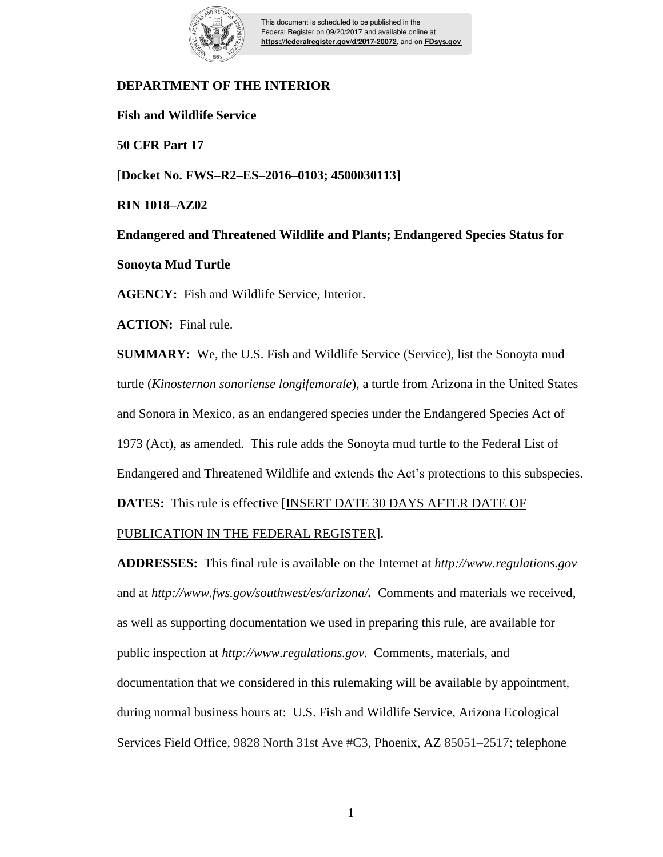

This document is scheduled to be published in the Federal Register on 09/20/2017 and available online at **https://federalregister.gov/d/2017-20072**, and on **FDsys.gov**

# **DEPARTMENT OF THE INTERIOR**

**Fish and Wildlife Service**

**50 CFR Part 17**

**[Docket No. FWS–R2–ES–2016–0103; 4500030113]**

**RIN 1018–AZ02**

**Endangered and Threatened Wildlife and Plants; Endangered Species Status for Sonoyta Mud Turtle**

**AGENCY:** Fish and Wildlife Service, Interior.

**ACTION:** Final rule.

**SUMMARY:** We, the U.S. Fish and Wildlife Service (Service), list the Sonoyta mud turtle (*Kinosternon sonoriense longifemorale*), a turtle from Arizona in the United States and Sonora in Mexico, as an endangered species under the Endangered Species Act of 1973 (Act), as amended. This rule adds the Sonoyta mud turtle to the Federal List of Endangered and Threatened Wildlife and extends the Act's protections to this subspecies. **DATES:** This rule is effective [INSERT DATE 30 DAYS AFTER DATE OF

# PUBLICATION IN THE FEDERAL REGISTER].

**ADDRESSES:** This final rule is available on the Internet at *http://www.regulations.gov* and at *http://www.fws.gov/southwest/es/arizona/.*Comments and materials we received, as well as supporting documentation we used in preparing this rule, are available for public inspection at *http://www.regulations.gov*. Comments, materials, and documentation that we considered in this rulemaking will be available by appointment, during normal business hours at: U.S. Fish and Wildlife Service, Arizona Ecological Services Field Office, 9828 North 31st Ave #C3, Phoenix, AZ 85051–2517; telephone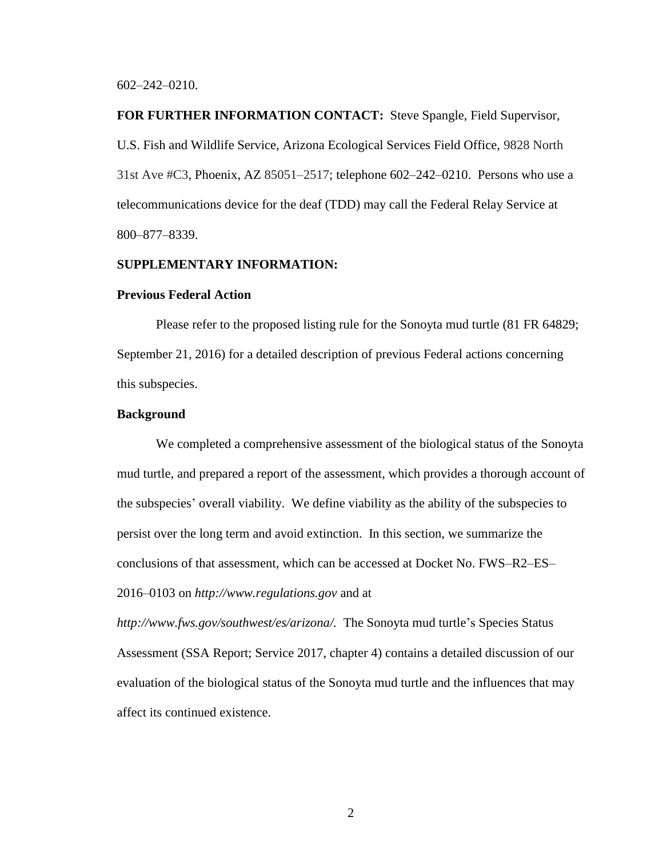#### 602–242–0210.

**FOR FURTHER INFORMATION CONTACT:** Steve Spangle, Field Supervisor, U.S. Fish and Wildlife Service, Arizona Ecological Services Field Office, 9828 North 31st Ave #C3, Phoenix, AZ 85051–2517; telephone 602–242–0210. Persons who use a telecommunications device for the deaf (TDD) may call the Federal Relay Service at 800–877–8339.

#### **SUPPLEMENTARY INFORMATION:**

#### **Previous Federal Action**

Please refer to the proposed listing rule for the Sonoyta mud turtle (81 FR 64829; September 21, 2016) for a detailed description of previous Federal actions concerning this subspecies.

# **Background**

We completed a comprehensive assessment of the biological status of the Sonoyta mud turtle, and prepared a report of the assessment, which provides a thorough account of the subspecies' overall viability. We define viability as the ability of the subspecies to persist over the long term and avoid extinction. In this section, we summarize the conclusions of that assessment, which can be accessed at Docket No. FWS–R2–ES– 2016–0103 on *http://www.regulations.gov* and at

*http://www.fws.gov/southwest/es/arizona/.* The Sonoyta mud turtle's Species Status Assessment (SSA Report; Service 2017, chapter 4) contains a detailed discussion of our evaluation of the biological status of the Sonoyta mud turtle and the influences that may affect its continued existence.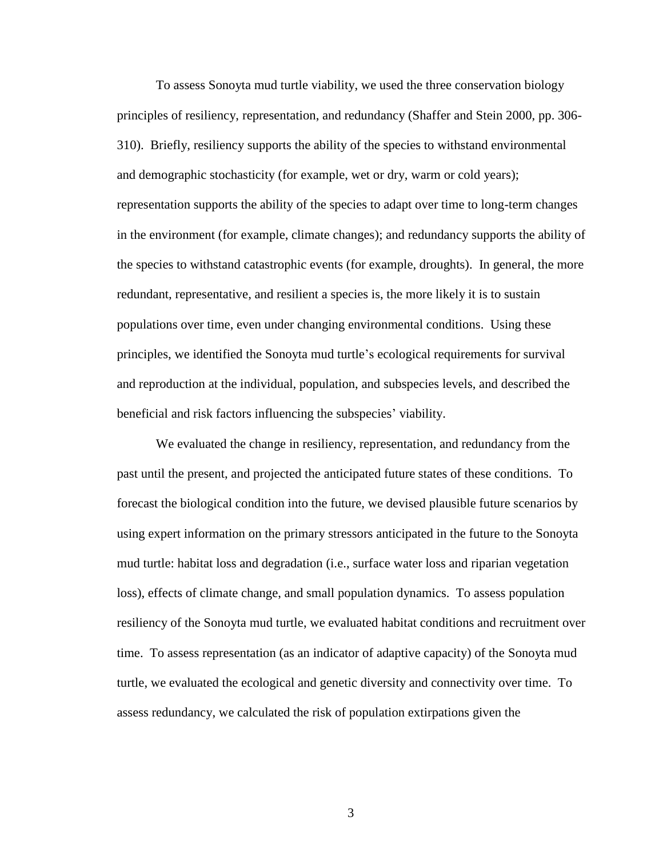To assess Sonoyta mud turtle viability, we used the three conservation biology principles of resiliency, representation, and redundancy (Shaffer and Stein 2000, pp. 306- 310). Briefly, resiliency supports the ability of the species to withstand environmental and demographic stochasticity (for example, wet or dry, warm or cold years); representation supports the ability of the species to adapt over time to long-term changes in the environment (for example, climate changes); and redundancy supports the ability of the species to withstand catastrophic events (for example, droughts). In general, the more redundant, representative, and resilient a species is, the more likely it is to sustain populations over time, even under changing environmental conditions. Using these principles, we identified the Sonoyta mud turtle's ecological requirements for survival and reproduction at the individual, population, and subspecies levels, and described the beneficial and risk factors influencing the subspecies' viability.

We evaluated the change in resiliency, representation, and redundancy from the past until the present, and projected the anticipated future states of these conditions. To forecast the biological condition into the future, we devised plausible future scenarios by using expert information on the primary stressors anticipated in the future to the Sonoyta mud turtle: habitat loss and degradation (i.e., surface water loss and riparian vegetation loss), effects of climate change, and small population dynamics. To assess population resiliency of the Sonoyta mud turtle, we evaluated habitat conditions and recruitment over time. To assess representation (as an indicator of adaptive capacity) of the Sonoyta mud turtle, we evaluated the ecological and genetic diversity and connectivity over time. To assess redundancy, we calculated the risk of population extirpations given the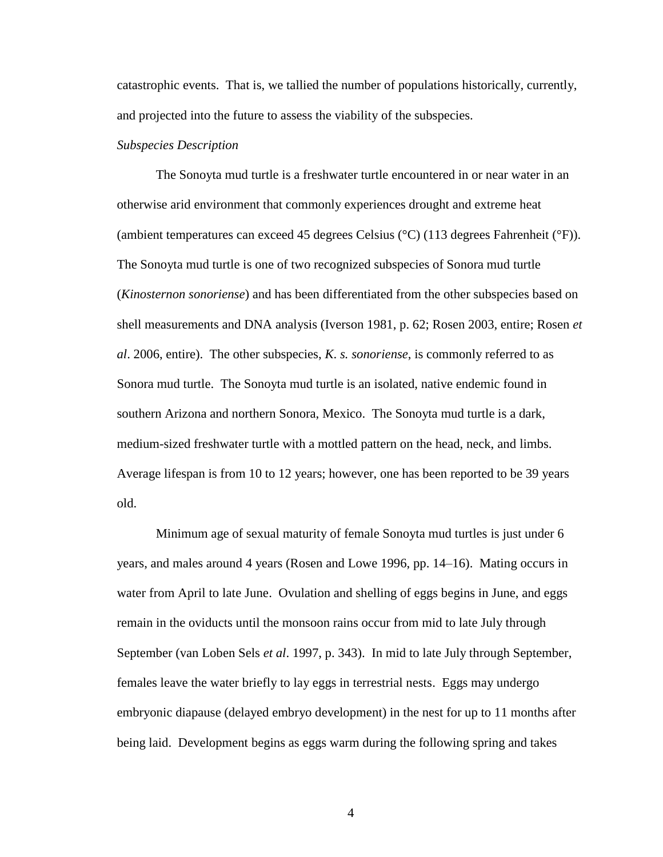catastrophic events. That is, we tallied the number of populations historically, currently, and projected into the future to assess the viability of the subspecies.

#### *Subspecies Description*

The Sonoyta mud turtle is a freshwater turtle encountered in or near water in an otherwise arid environment that commonly experiences drought and extreme heat (ambient temperatures can exceed 45 degrees Celsius (°C) (113 degrees Fahrenheit (°F)). The Sonoyta mud turtle is one of two recognized subspecies of Sonora mud turtle (*Kinosternon sonoriense*) and has been differentiated from the other subspecies based on shell measurements and DNA analysis (Iverson 1981, p. 62; Rosen 2003, entire; Rosen *et al*. 2006, entire). The other subspecies, *K*. *s. sonoriense*, is commonly referred to as Sonora mud turtle. The Sonoyta mud turtle is an isolated, native endemic found in southern Arizona and northern Sonora, Mexico. The Sonoyta mud turtle is a dark, medium-sized freshwater turtle with a mottled pattern on the head, neck, and limbs. Average lifespan is from 10 to 12 years; however, one has been reported to be 39 years old.

Minimum age of sexual maturity of female Sonoyta mud turtles is just under 6 years, and males around 4 years (Rosen and Lowe 1996, pp. 14–16). Mating occurs in water from April to late June. Ovulation and shelling of eggs begins in June, and eggs remain in the oviducts until the monsoon rains occur from mid to late July through September (van Loben Sels *et al*. 1997, p. 343). In mid to late July through September, females leave the water briefly to lay eggs in terrestrial nests. Eggs may undergo embryonic diapause (delayed embryo development) in the nest for up to 11 months after being laid. Development begins as eggs warm during the following spring and takes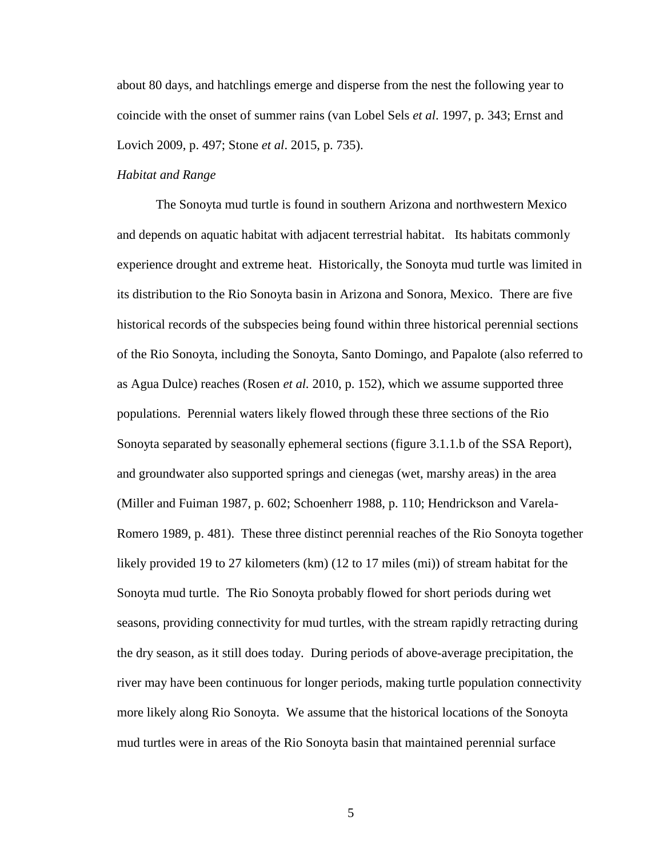about 80 days, and hatchlings emerge and disperse from the nest the following year to coincide with the onset of summer rains (van Lobel Sels *et al*. 1997, p. 343; Ernst and Lovich 2009, p. 497; Stone *et al*. 2015, p. 735).

# *Habitat and Range*

The Sonoyta mud turtle is found in southern Arizona and northwestern Mexico and depends on aquatic habitat with adjacent terrestrial habitat. Its habitats commonly experience drought and extreme heat. Historically, the Sonoyta mud turtle was limited in its distribution to the Rio Sonoyta basin in Arizona and Sonora, Mexico. There are five historical records of the subspecies being found within three historical perennial sections of the Rio Sonoyta, including the Sonoyta, Santo Domingo, and Papalote (also referred to as Agua Dulce) reaches (Rosen *et al.* 2010, p. 152), which we assume supported three populations. Perennial waters likely flowed through these three sections of the Rio Sonoyta separated by seasonally ephemeral sections (figure 3.1.1.b of the SSA Report), and groundwater also supported springs and cienegas (wet, marshy areas) in the area (Miller and Fuiman 1987, p. 602; Schoenherr 1988, p. 110; Hendrickson and Varela-Romero 1989, p. 481). These three distinct perennial reaches of the Rio Sonoyta together likely provided 19 to 27 kilometers (km) (12 to 17 miles (mi)) of stream habitat for the Sonoyta mud turtle. The Rio Sonoyta probably flowed for short periods during wet seasons, providing connectivity for mud turtles, with the stream rapidly retracting during the dry season, as it still does today. During periods of above-average precipitation, the river may have been continuous for longer periods, making turtle population connectivity more likely along Rio Sonoyta. We assume that the historical locations of the Sonoyta mud turtles were in areas of the Rio Sonoyta basin that maintained perennial surface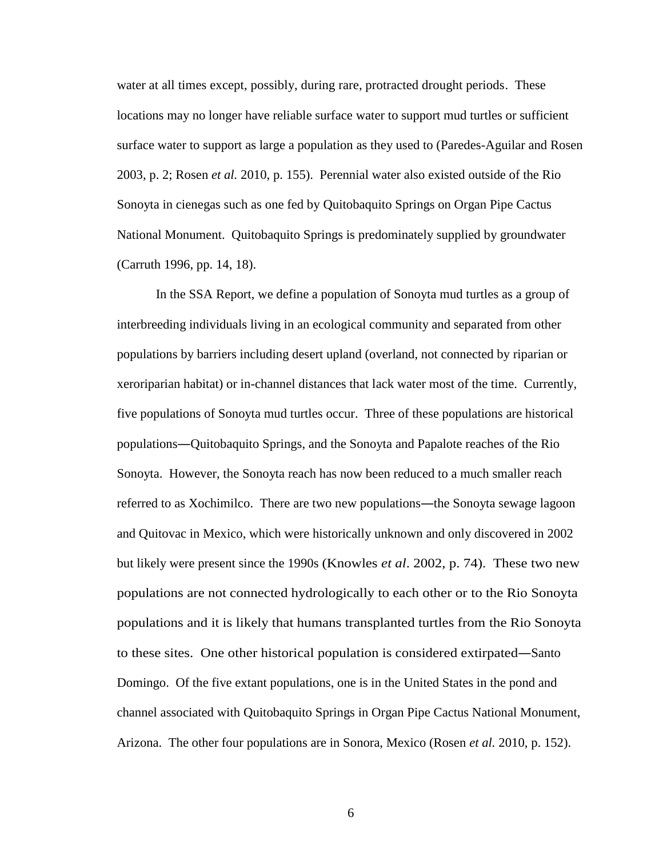water at all times except, possibly, during rare, protracted drought periods. These locations may no longer have reliable surface water to support mud turtles or sufficient surface water to support as large a population as they used to (Paredes-Aguilar and Rosen 2003, p. 2; Rosen *et al.* 2010, p. 155). Perennial water also existed outside of the Rio Sonoyta in cienegas such as one fed by Quitobaquito Springs on Organ Pipe Cactus National Monument. Quitobaquito Springs is predominately supplied by groundwater (Carruth 1996, pp. 14, 18).

In the SSA Report, we define a population of Sonoyta mud turtles as a group of interbreeding individuals living in an ecological community and separated from other populations by barriers including desert upland (overland, not connected by riparian or xeroriparian habitat) or in-channel distances that lack water most of the time. Currently, five populations of Sonoyta mud turtles occur. Three of these populations are historical populations―Quitobaquito Springs, and the Sonoyta and Papalote reaches of the Rio Sonoyta. However, the Sonoyta reach has now been reduced to a much smaller reach referred to as Xochimilco. There are two new populations—the Sonoyta sewage lagoon and Quitovac in Mexico, which were historically unknown and only discovered in 2002 but likely were present since the 1990s (Knowles *et al*. 2002, p. 74). These two new populations are not connected hydrologically to each other or to the Rio Sonoyta populations and it is likely that humans transplanted turtles from the Rio Sonoyta to these sites. One other historical population is considered extirpated―Santo Domingo. Of the five extant populations, one is in the United States in the pond and channel associated with Quitobaquito Springs in Organ Pipe Cactus National Monument, Arizona. The other four populations are in Sonora, Mexico (Rosen *et al.* 2010, p. 152).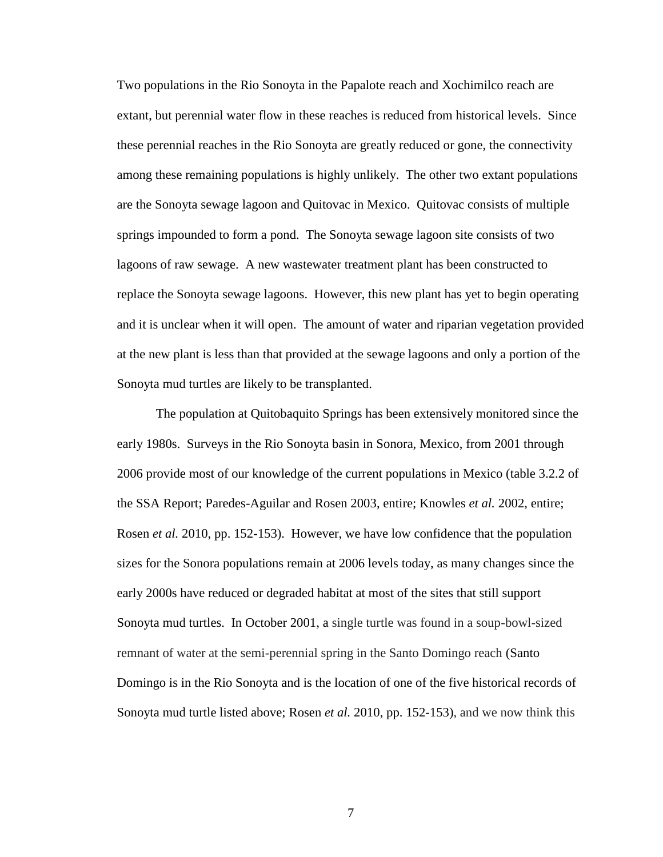Two populations in the Rio Sonoyta in the Papalote reach and Xochimilco reach are extant, but perennial water flow in these reaches is reduced from historical levels. Since these perennial reaches in the Rio Sonoyta are greatly reduced or gone, the connectivity among these remaining populations is highly unlikely. The other two extant populations are the Sonoyta sewage lagoon and Quitovac in Mexico. Quitovac consists of multiple springs impounded to form a pond. The Sonoyta sewage lagoon site consists of two lagoons of raw sewage. A new wastewater treatment plant has been constructed to replace the Sonoyta sewage lagoons. However, this new plant has yet to begin operating and it is unclear when it will open. The amount of water and riparian vegetation provided at the new plant is less than that provided at the sewage lagoons and only a portion of the Sonoyta mud turtles are likely to be transplanted.

The population at Quitobaquito Springs has been extensively monitored since the early 1980s. Surveys in the Rio Sonoyta basin in Sonora, Mexico, from 2001 through 2006 provide most of our knowledge of the current populations in Mexico (table 3.2.2 of the SSA Report; Paredes-Aguilar and Rosen 2003, entire; Knowles *et al.* 2002, entire; Rosen *et al.* 2010, pp. 152-153). However, we have low confidence that the population sizes for the Sonora populations remain at 2006 levels today, as many changes since the early 2000s have reduced or degraded habitat at most of the sites that still support Sonoyta mud turtles. In October 2001, a single turtle was found in a soup-bowl-sized remnant of water at the semi-perennial spring in the Santo Domingo reach (Santo Domingo is in the Rio Sonoyta and is the location of one of the five historical records of Sonoyta mud turtle listed above; Rosen *et al.* 2010, pp. 152-153), and we now think this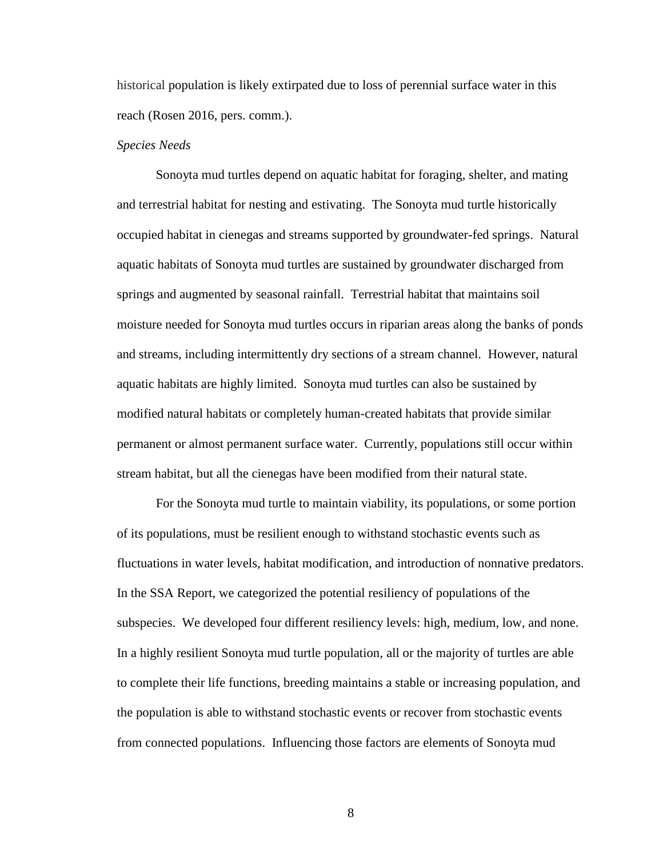historical population is likely extirpated due to loss of perennial surface water in this reach (Rosen 2016, pers. comm.).

#### *Species Needs*

Sonoyta mud turtles depend on aquatic habitat for foraging, shelter, and mating and terrestrial habitat for nesting and estivating. The Sonoyta mud turtle historically occupied habitat in cienegas and streams supported by groundwater-fed springs. Natural aquatic habitats of Sonoyta mud turtles are sustained by groundwater discharged from springs and augmented by seasonal rainfall. Terrestrial habitat that maintains soil moisture needed for Sonoyta mud turtles occurs in riparian areas along the banks of ponds and streams, including intermittently dry sections of a stream channel. However, natural aquatic habitats are highly limited. Sonoyta mud turtles can also be sustained by modified natural habitats or completely human-created habitats that provide similar permanent or almost permanent surface water. Currently, populations still occur within stream habitat, but all the cienegas have been modified from their natural state.

For the Sonoyta mud turtle to maintain viability, its populations, or some portion of its populations, must be resilient enough to withstand stochastic events such as fluctuations in water levels, habitat modification, and introduction of nonnative predators. In the SSA Report, we categorized the potential resiliency of populations of the subspecies. We developed four different resiliency levels: high, medium, low, and none. In a highly resilient Sonoyta mud turtle population, all or the majority of turtles are able to complete their life functions, breeding maintains a stable or increasing population, and the population is able to withstand stochastic events or recover from stochastic events from connected populations. Influencing those factors are elements of Sonoyta mud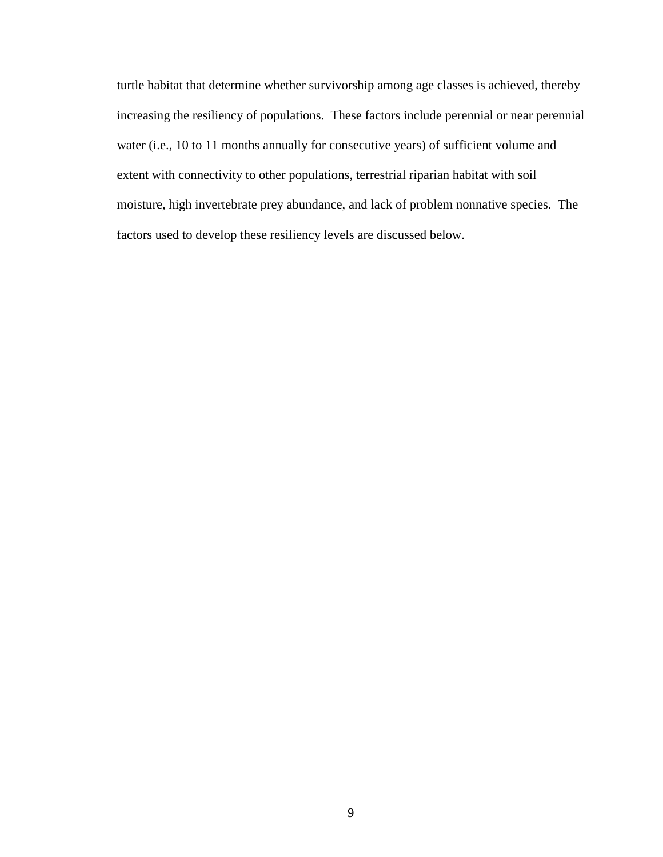turtle habitat that determine whether survivorship among age classes is achieved, thereby increasing the resiliency of populations. These factors include perennial or near perennial water (i.e., 10 to 11 months annually for consecutive years) of sufficient volume and extent with connectivity to other populations, terrestrial riparian habitat with soil moisture, high invertebrate prey abundance, and lack of problem nonnative species. The factors used to develop these resiliency levels are discussed below.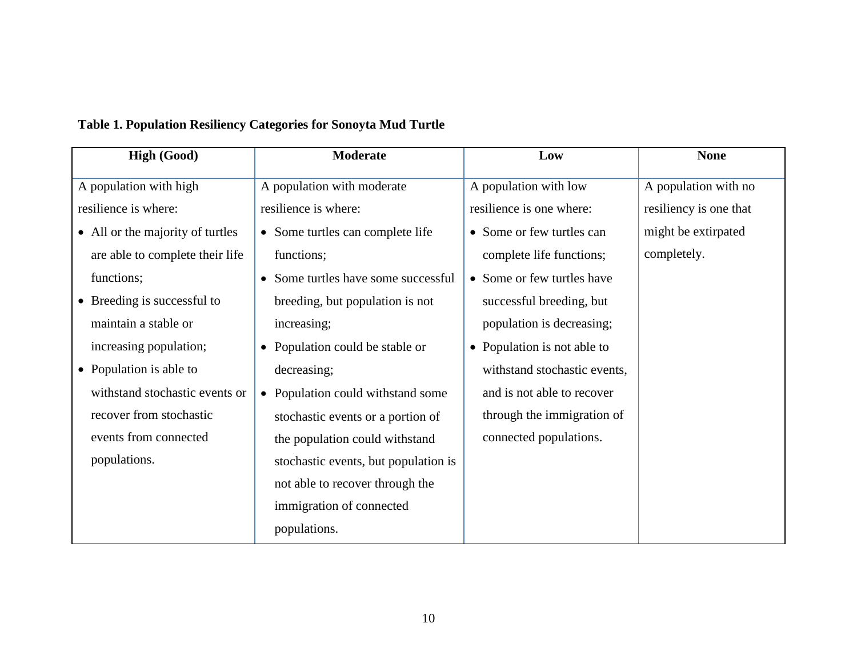| <b>High (Good)</b>               | <b>Moderate</b>                                          | Low                          | <b>None</b>            |
|----------------------------------|----------------------------------------------------------|------------------------------|------------------------|
| A population with high           | A population with moderate                               | A population with low        | A population with no   |
| resilience is where:             | resilience is where:                                     | resilience is one where:     | resiliency is one that |
| • All or the majority of turtles | • Some turtles can complete life                         | • Some or few turtles can    | might be extirpated    |
| are able to complete their life  | functions;                                               | complete life functions;     | completely.            |
| functions;                       | • Some turtles have some successful                      | • Some or few turtles have   |                        |
| • Breeding is successful to      | breeding, but population is not                          | successful breeding, but     |                        |
| maintain a stable or             | increasing;                                              | population is decreasing;    |                        |
| increasing population;           | • Population could be stable or                          | • Population is not able to  |                        |
| • Population is able to          | decreasing;                                              | withstand stochastic events, |                        |
| withstand stochastic events or   | • Population could withstand some                        | and is not able to recover   |                        |
| recover from stochastic          | stochastic events or a portion of                        | through the immigration of   |                        |
| events from connected            | connected populations.<br>the population could withstand |                              |                        |
| populations.                     | stochastic events, but population is                     |                              |                        |
|                                  | not able to recover through the                          |                              |                        |
|                                  | immigration of connected                                 |                              |                        |
|                                  | populations.                                             |                              |                        |

# **Table 1. Population Resiliency Categories for Sonoyta Mud Turtle**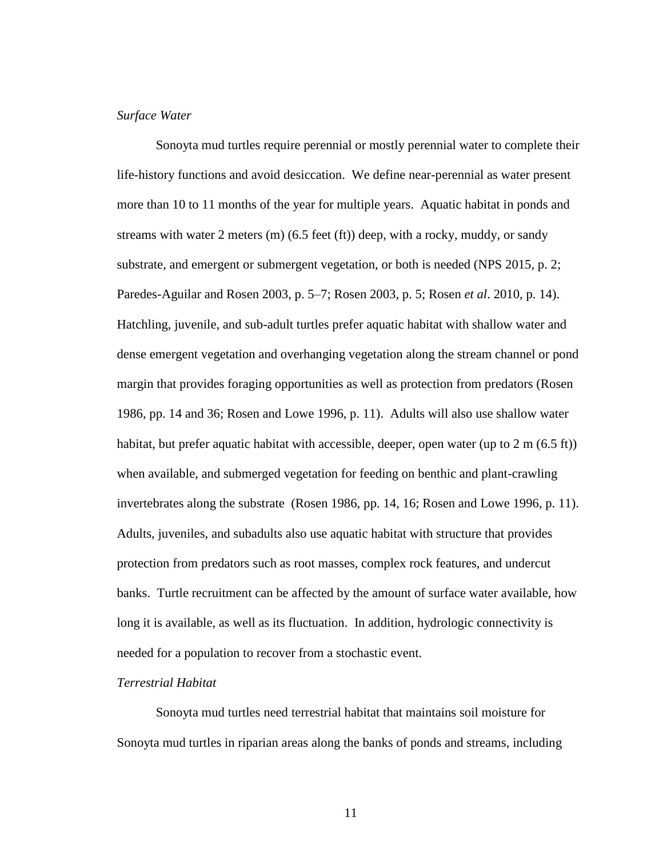# *Surface Water*

Sonoyta mud turtles require perennial or mostly perennial water to complete their life-history functions and avoid desiccation. We define near-perennial as water present more than 10 to 11 months of the year for multiple years. Aquatic habitat in ponds and streams with water 2 meters  $(m)$  (6.5 feet  $(ft)$ ) deep, with a rocky, muddy, or sandy substrate, and emergent or submergent vegetation, or both is needed (NPS 2015, p. 2; Paredes-Aguilar and Rosen 2003, p. 5–7; Rosen 2003, p. 5; Rosen *et al*. 2010, p. 14). Hatchling, juvenile, and sub-adult turtles prefer aquatic habitat with shallow water and dense emergent vegetation and overhanging vegetation along the stream channel or pond margin that provides foraging opportunities as well as protection from predators (Rosen 1986, pp. 14 and 36; Rosen and Lowe 1996, p. 11). Adults will also use shallow water habitat, but prefer aquatic habitat with accessible, deeper, open water (up to 2 m (6.5 ft)) when available, and submerged vegetation for feeding on benthic and plant-crawling invertebrates along the substrate (Rosen 1986, pp. 14, 16; Rosen and Lowe 1996, p. 11). Adults, juveniles, and subadults also use aquatic habitat with structure that provides protection from predators such as root masses, complex rock features, and undercut banks. Turtle recruitment can be affected by the amount of surface water available, how long it is available, as well as its fluctuation. In addition, hydrologic connectivity is needed for a population to recover from a stochastic event.

# *Terrestrial Habitat*

Sonoyta mud turtles need terrestrial habitat that maintains soil moisture for Sonoyta mud turtles in riparian areas along the banks of ponds and streams, including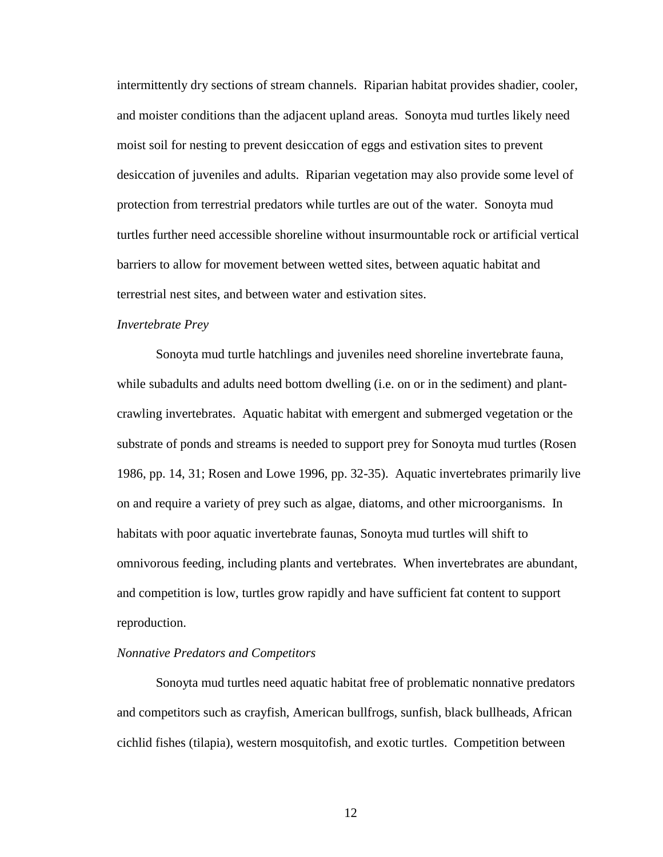intermittently dry sections of stream channels. Riparian habitat provides shadier, cooler, and moister conditions than the adjacent upland areas. Sonoyta mud turtles likely need moist soil for nesting to prevent desiccation of eggs and estivation sites to prevent desiccation of juveniles and adults. Riparian vegetation may also provide some level of protection from terrestrial predators while turtles are out of the water. Sonoyta mud turtles further need accessible shoreline without insurmountable rock or artificial vertical barriers to allow for movement between wetted sites, between aquatic habitat and terrestrial nest sites, and between water and estivation sites.

#### *Invertebrate Prey*

Sonoyta mud turtle hatchlings and juveniles need shoreline invertebrate fauna, while subadults and adults need bottom dwelling (i.e. on or in the sediment) and plantcrawling invertebrates. Aquatic habitat with emergent and submerged vegetation or the substrate of ponds and streams is needed to support prey for Sonoyta mud turtles (Rosen 1986, pp. 14, 31; Rosen and Lowe 1996, pp. 32-35). Aquatic invertebrates primarily live on and require a variety of prey such as algae, diatoms, and other microorganisms. In habitats with poor aquatic invertebrate faunas, Sonoyta mud turtles will shift to omnivorous feeding, including plants and vertebrates. When invertebrates are abundant, and competition is low, turtles grow rapidly and have sufficient fat content to support reproduction.

#### *Nonnative Predators and Competitors*

Sonoyta mud turtles need aquatic habitat free of problematic nonnative predators and competitors such as crayfish, American bullfrogs, sunfish, black bullheads, African cichlid fishes (tilapia), western mosquitofish, and exotic turtles. Competition between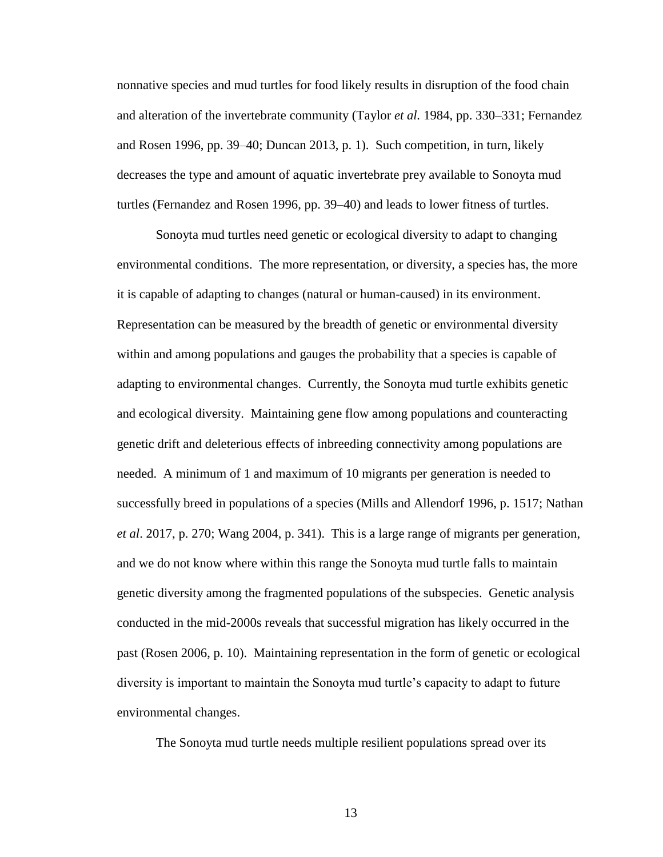nonnative species and mud turtles for food likely results in disruption of the food chain and alteration of the invertebrate community (Taylor *et al.* 1984, pp. 330–331; Fernandez and Rosen 1996, pp. 39–40; Duncan 2013, p. 1). Such competition, in turn, likely decreases the type and amount of aquatic invertebrate prey available to Sonoyta mud turtles (Fernandez and Rosen 1996, pp. 39–40) and leads to lower fitness of turtles.

Sonoyta mud turtles need genetic or ecological diversity to adapt to changing environmental conditions. The more representation, or diversity, a species has, the more it is capable of adapting to changes (natural or human-caused) in its environment. Representation can be measured by the breadth of genetic or environmental diversity within and among populations and gauges the probability that a species is capable of adapting to environmental changes. Currently, the Sonoyta mud turtle exhibits genetic and ecological diversity. Maintaining gene flow among populations and counteracting genetic drift and deleterious effects of inbreeding connectivity among populations are needed. A minimum of 1 and maximum of 10 migrants per generation is needed to successfully breed in populations of a species (Mills and Allendorf 1996, p. 1517; Nathan *et al*. 2017, p. 270; Wang 2004, p. 341). This is a large range of migrants per generation, and we do not know where within this range the Sonoyta mud turtle falls to maintain genetic diversity among the fragmented populations of the subspecies. Genetic analysis conducted in the mid-2000s reveals that successful migration has likely occurred in the past (Rosen 2006, p. 10). Maintaining representation in the form of genetic or ecological diversity is important to maintain the Sonoyta mud turtle's capacity to adapt to future environmental changes.

The Sonoyta mud turtle needs multiple resilient populations spread over its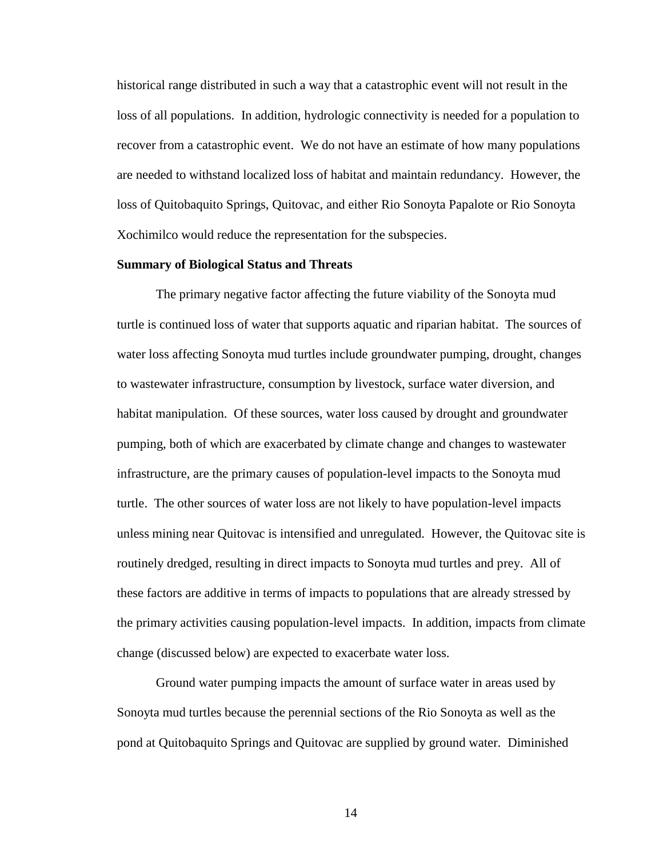historical range distributed in such a way that a catastrophic event will not result in the loss of all populations. In addition, hydrologic connectivity is needed for a population to recover from a catastrophic event. We do not have an estimate of how many populations are needed to withstand localized loss of habitat and maintain redundancy. However, the loss of Quitobaquito Springs, Quitovac, and either Rio Sonoyta Papalote or Rio Sonoyta Xochimilco would reduce the representation for the subspecies.

#### **Summary of Biological Status and Threats**

The primary negative factor affecting the future viability of the Sonoyta mud turtle is continued loss of water that supports aquatic and riparian habitat. The sources of water loss affecting Sonoyta mud turtles include groundwater pumping, drought, changes to wastewater infrastructure, consumption by livestock, surface water diversion, and habitat manipulation. Of these sources, water loss caused by drought and groundwater pumping, both of which are exacerbated by climate change and changes to wastewater infrastructure, are the primary causes of population-level impacts to the Sonoyta mud turtle. The other sources of water loss are not likely to have population-level impacts unless mining near Quitovac is intensified and unregulated. However, the Quitovac site is routinely dredged, resulting in direct impacts to Sonoyta mud turtles and prey. All of these factors are additive in terms of impacts to populations that are already stressed by the primary activities causing population-level impacts. In addition, impacts from climate change (discussed below) are expected to exacerbate water loss.

Ground water pumping impacts the amount of surface water in areas used by Sonoyta mud turtles because the perennial sections of the Rio Sonoyta as well as the pond at Quitobaquito Springs and Quitovac are supplied by ground water. Diminished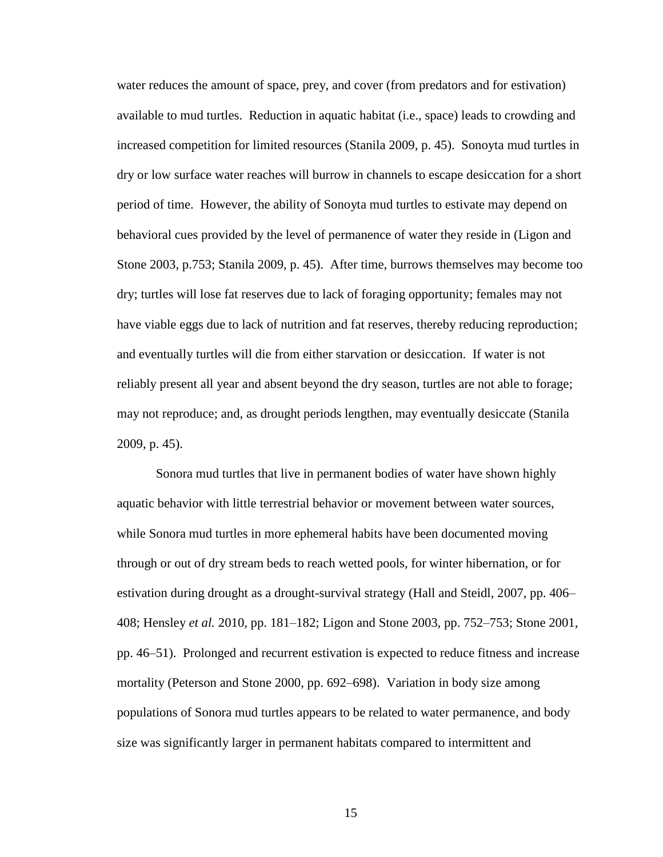water reduces the amount of space, prey, and cover (from predators and for estivation) available to mud turtles. Reduction in aquatic habitat (i.e., space) leads to crowding and increased competition for limited resources (Stanila 2009, p. 45). Sonoyta mud turtles in dry or low surface water reaches will burrow in channels to escape desiccation for a short period of time. However, the ability of Sonoyta mud turtles to estivate may depend on behavioral cues provided by the level of permanence of water they reside in (Ligon and Stone 2003, p.753; Stanila 2009, p. 45). After time, burrows themselves may become too dry; turtles will lose fat reserves due to lack of foraging opportunity; females may not have viable eggs due to lack of nutrition and fat reserves, thereby reducing reproduction; and eventually turtles will die from either starvation or desiccation. If water is not reliably present all year and absent beyond the dry season, turtles are not able to forage; may not reproduce; and, as drought periods lengthen, may eventually desiccate (Stanila 2009, p. 45).

Sonora mud turtles that live in permanent bodies of water have shown highly aquatic behavior with little terrestrial behavior or movement between water sources, while Sonora mud turtles in more ephemeral habits have been documented moving through or out of dry stream beds to reach wetted pools, for winter hibernation, or for estivation during drought as a drought-survival strategy (Hall and Steidl, 2007, pp. 406– 408; Hensley *et al.* 2010, pp. 181–182; Ligon and Stone 2003, pp. 752–753; Stone 2001, pp. 46–51). Prolonged and recurrent estivation is expected to reduce fitness and increase mortality (Peterson and Stone 2000, pp. 692–698). Variation in body size among populations of Sonora mud turtles appears to be related to water permanence, and body size was significantly larger in permanent habitats compared to intermittent and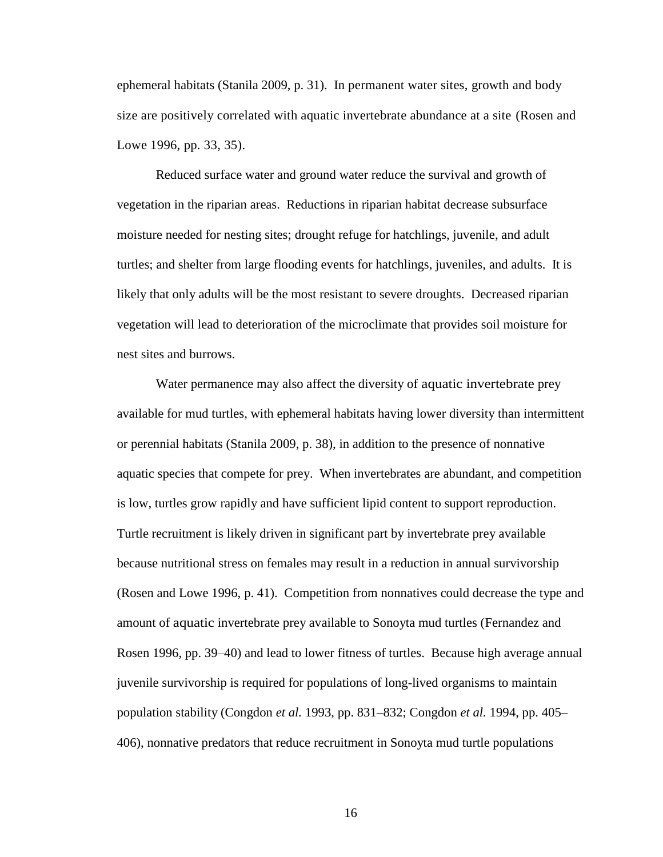ephemeral habitats (Stanila 2009, p. 31). In permanent water sites, growth and body size are positively correlated with aquatic invertebrate abundance at a site (Rosen and Lowe 1996, pp. 33, 35).

Reduced surface water and ground water reduce the survival and growth of vegetation in the riparian areas. Reductions in riparian habitat decrease subsurface moisture needed for nesting sites; drought refuge for hatchlings, juvenile, and adult turtles; and shelter from large flooding events for hatchlings, juveniles, and adults. It is likely that only adults will be the most resistant to severe droughts. Decreased riparian vegetation will lead to deterioration of the microclimate that provides soil moisture for nest sites and burrows.

Water permanence may also affect the diversity of aquatic invertebrate prey available for mud turtles, with ephemeral habitats having lower diversity than intermittent or perennial habitats (Stanila 2009, p. 38), in addition to the presence of nonnative aquatic species that compete for prey. When invertebrates are abundant, and competition is low, turtles grow rapidly and have sufficient lipid content to support reproduction. Turtle recruitment is likely driven in significant part by invertebrate prey available because nutritional stress on females may result in a reduction in annual survivorship (Rosen and Lowe 1996, p. 41). Competition from nonnatives could decrease the type and amount of aquatic invertebrate prey available to Sonoyta mud turtles (Fernandez and Rosen 1996, pp. 39–40) and lead to lower fitness of turtles. Because high average annual juvenile survivorship is required for populations of long-lived organisms to maintain population stability (Congdon *et al.* 1993, pp. 831–832; Congdon *et al.* 1994, pp. 405– 406), nonnative predators that reduce recruitment in Sonoyta mud turtle populations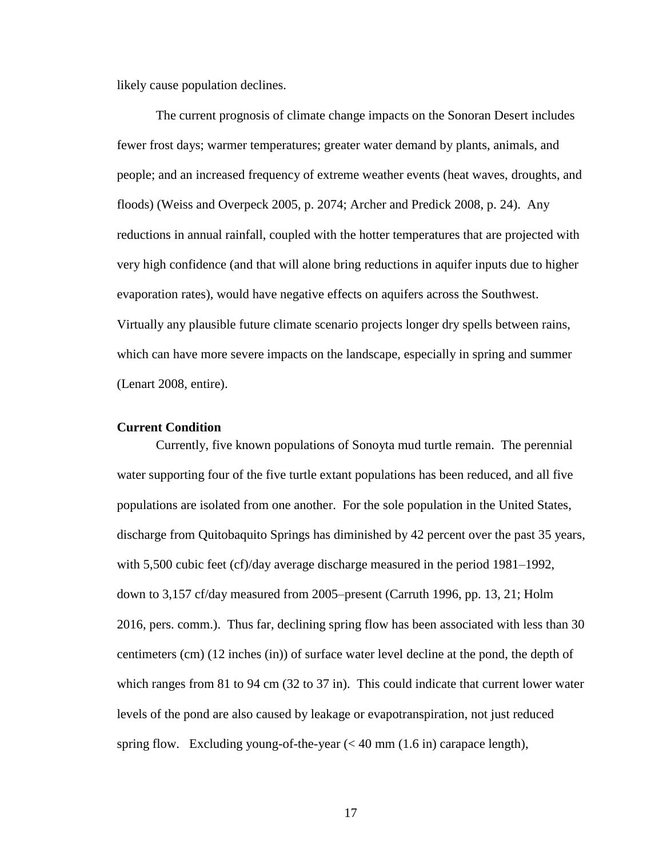likely cause population declines.

The current prognosis of climate change impacts on the Sonoran Desert includes fewer frost days; warmer temperatures; greater water demand by plants, animals, and people; and an increased frequency of extreme weather events (heat waves, droughts, and floods) (Weiss and Overpeck 2005, p. 2074; Archer and Predick 2008, p. 24). Any reductions in annual rainfall, coupled with the hotter temperatures that are projected with very high confidence (and that will alone bring reductions in aquifer inputs due to higher evaporation rates), would have negative effects on aquifers across the Southwest. Virtually any plausible future climate scenario projects longer dry spells between rains, which can have more severe impacts on the landscape, especially in spring and summer (Lenart 2008, entire).

# **Current Condition**

Currently, five known populations of Sonoyta mud turtle remain. The perennial water supporting four of the five turtle extant populations has been reduced, and all five populations are isolated from one another. For the sole population in the United States, discharge from Quitobaquito Springs has diminished by 42 percent over the past 35 years, with 5,500 cubic feet (cf)/day average discharge measured in the period 1981–1992, down to 3,157 cf/day measured from 2005–present (Carruth 1996, pp. 13, 21; Holm 2016, pers. comm.). Thus far, declining spring flow has been associated with less than 30 centimeters (cm) (12 inches (in)) of surface water level decline at the pond, the depth of which ranges from 81 to 94 cm (32 to 37 in). This could indicate that current lower water levels of the pond are also caused by leakage or evapotranspiration, not just reduced spring flow. Excluding young-of-the-year  $\ll 40$  mm  $(1.6 \text{ in})$  carapace length),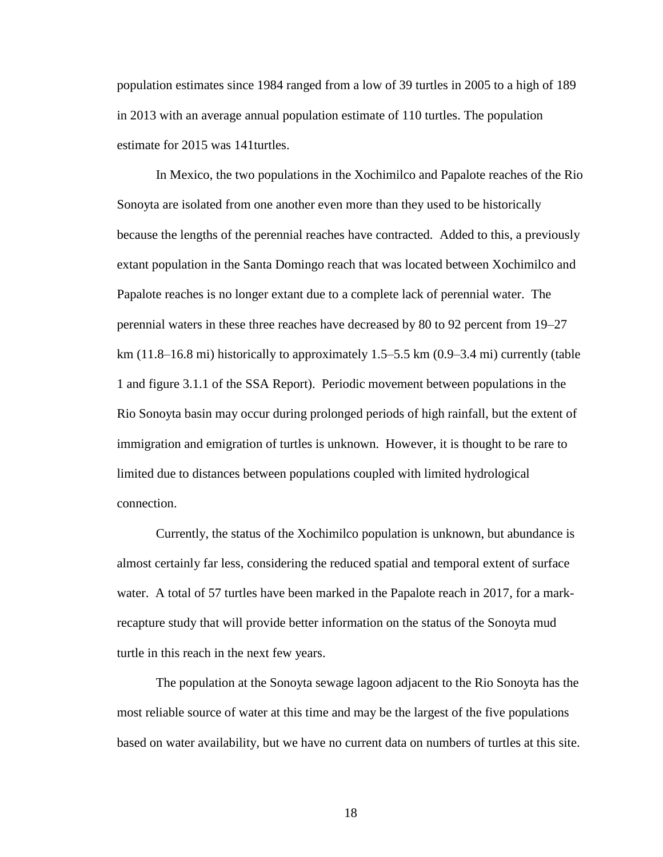population estimates since 1984 ranged from a low of 39 turtles in 2005 to a high of 189 in 2013 with an average annual population estimate of 110 turtles. The population estimate for 2015 was 141turtles.

In Mexico, the two populations in the Xochimilco and Papalote reaches of the Rio Sonoyta are isolated from one another even more than they used to be historically because the lengths of the perennial reaches have contracted. Added to this, a previously extant population in the Santa Domingo reach that was located between Xochimilco and Papalote reaches is no longer extant due to a complete lack of perennial water. The perennial waters in these three reaches have decreased by 80 to 92 percent from 19–27 km (11.8–16.8 mi) historically to approximately 1.5–5.5 km (0.9–3.4 mi) currently (table 1 and figure 3.1.1 of the SSA Report). Periodic movement between populations in the Rio Sonoyta basin may occur during prolonged periods of high rainfall, but the extent of immigration and emigration of turtles is unknown. However, it is thought to be rare to limited due to distances between populations coupled with limited hydrological connection.

Currently, the status of the Xochimilco population is unknown, but abundance is almost certainly far less, considering the reduced spatial and temporal extent of surface water. A total of 57 turtles have been marked in the Papalote reach in 2017, for a markrecapture study that will provide better information on the status of the Sonoyta mud turtle in this reach in the next few years.

The population at the Sonoyta sewage lagoon adjacent to the Rio Sonoyta has the most reliable source of water at this time and may be the largest of the five populations based on water availability, but we have no current data on numbers of turtles at this site.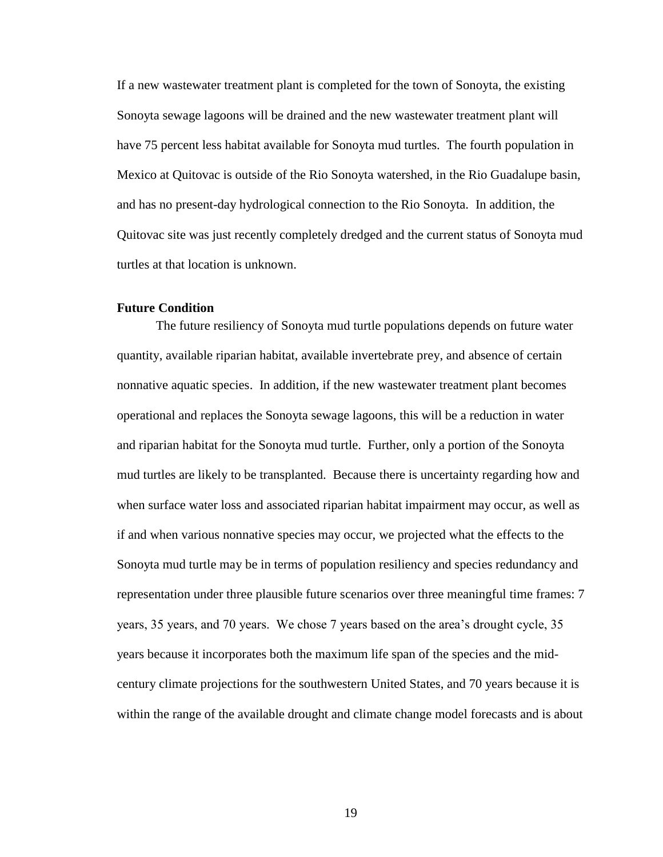If a new wastewater treatment plant is completed for the town of Sonoyta, the existing Sonoyta sewage lagoons will be drained and the new wastewater treatment plant will have 75 percent less habitat available for Sonoyta mud turtles. The fourth population in Mexico at Quitovac is outside of the Rio Sonoyta watershed, in the Rio Guadalupe basin, and has no present-day hydrological connection to the Rio Sonoyta. In addition, the Quitovac site was just recently completely dredged and the current status of Sonoyta mud turtles at that location is unknown.

## **Future Condition**

The future resiliency of Sonoyta mud turtle populations depends on future water quantity, available riparian habitat, available invertebrate prey, and absence of certain nonnative aquatic species. In addition, if the new wastewater treatment plant becomes operational and replaces the Sonoyta sewage lagoons, this will be a reduction in water and riparian habitat for the Sonoyta mud turtle. Further, only a portion of the Sonoyta mud turtles are likely to be transplanted. Because there is uncertainty regarding how and when surface water loss and associated riparian habitat impairment may occur, as well as if and when various nonnative species may occur, we projected what the effects to the Sonoyta mud turtle may be in terms of population resiliency and species redundancy and representation under three plausible future scenarios over three meaningful time frames: 7 years, 35 years, and 70 years. We chose 7 years based on the area's drought cycle, 35 years because it incorporates both the maximum life span of the species and the midcentury climate projections for the southwestern United States, and 70 years because it is within the range of the available drought and climate change model forecasts and is about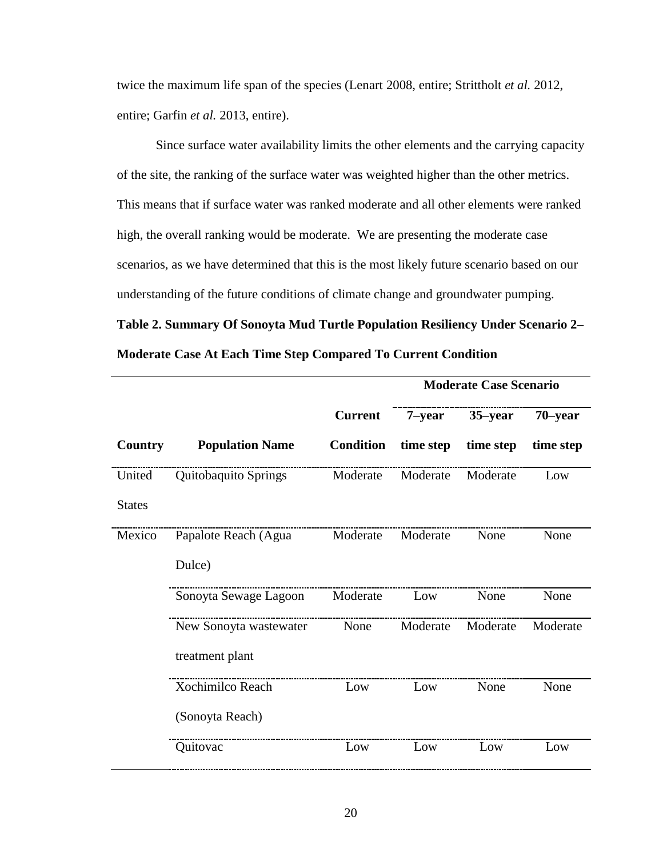twice the maximum life span of the species (Lenart 2008, entire; Strittholt *et al.* 2012, entire; Garfin *et al.* 2013, entire).

Since surface water availability limits the other elements and the carrying capacity of the site, the ranking of the surface water was weighted higher than the other metrics. This means that if surface water was ranked moderate and all other elements were ranked high, the overall ranking would be moderate. We are presenting the moderate case scenarios, as we have determined that this is the most likely future scenario based on our understanding of the future conditions of climate change and groundwater pumping.

**Table 2. Summary Of Sonoyta Mud Turtle Population Resiliency Under Scenario 2– Moderate Case At Each Time Step Compared To Current Condition**

|               |                        |                  |           | <b>Moderate Case Scenario</b> |           |
|---------------|------------------------|------------------|-----------|-------------------------------|-----------|
|               |                        | <b>Current</b>   | $7$ -year | $35$ -year                    | 70-year   |
| Country       | <b>Population Name</b> | <b>Condition</b> | time step | time step                     | time step |
| United        | Quitobaquito Springs   | Moderate         | Moderate  | Moderate                      | Low       |
| <b>States</b> |                        |                  |           |                               |           |
| Mexico        | Papalote Reach (Agua   | Moderate         | Moderate  | None                          | None      |
|               | Dulce)                 |                  |           |                               |           |
|               | Sonoyta Sewage Lagoon  | Moderate         | Low       | None                          | None      |
|               | New Sonoyta wastewater | None             | Moderate  | Moderate                      | Moderate  |
|               | treatment plant        |                  |           |                               |           |
|               | Xochimilco Reach       | Low              | Low       | None                          | None      |
|               | (Sonoyta Reach)        |                  |           |                               |           |
|               | Quitovac               | Low              | Low       | Low                           | Low       |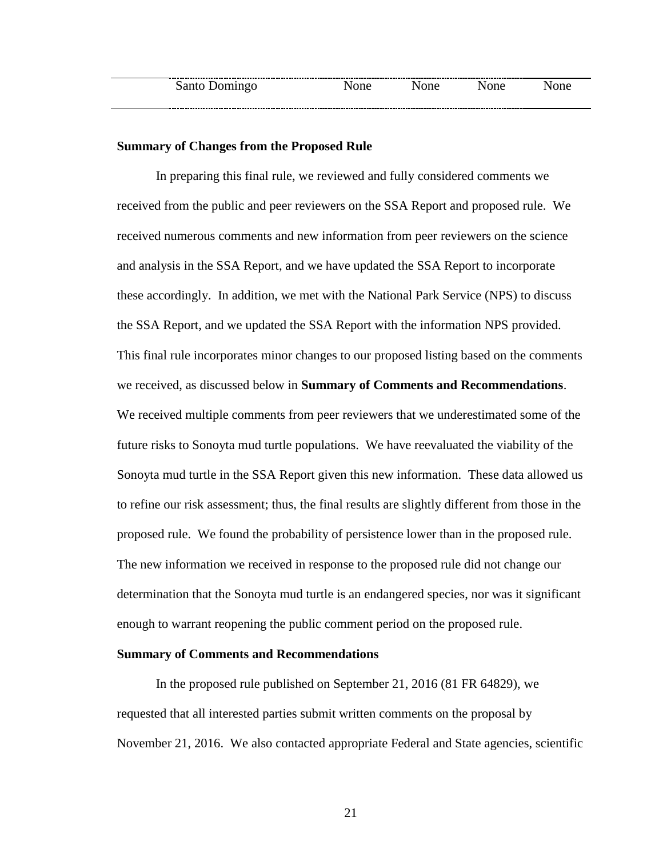# **Summary of Changes from the Proposed Rule**

In preparing this final rule, we reviewed and fully considered comments we received from the public and peer reviewers on the SSA Report and proposed rule. We received numerous comments and new information from peer reviewers on the science and analysis in the SSA Report, and we have updated the SSA Report to incorporate these accordingly. In addition, we met with the National Park Service (NPS) to discuss the SSA Report, and we updated the SSA Report with the information NPS provided. This final rule incorporates minor changes to our proposed listing based on the comments we received, as discussed below in **Summary of Comments and Recommendations**. We received multiple comments from peer reviewers that we underestimated some of the future risks to Sonoyta mud turtle populations. We have reevaluated the viability of the Sonoyta mud turtle in the SSA Report given this new information. These data allowed us to refine our risk assessment; thus, the final results are slightly different from those in the proposed rule. We found the probability of persistence lower than in the proposed rule. The new information we received in response to the proposed rule did not change our determination that the Sonoyta mud turtle is an endangered species, nor was it significant enough to warrant reopening the public comment period on the proposed rule.

# **Summary of Comments and Recommendations**

In the proposed rule published on September 21, 2016 (81 FR 64829), we requested that all interested parties submit written comments on the proposal by November 21, 2016. We also contacted appropriate Federal and State agencies, scientific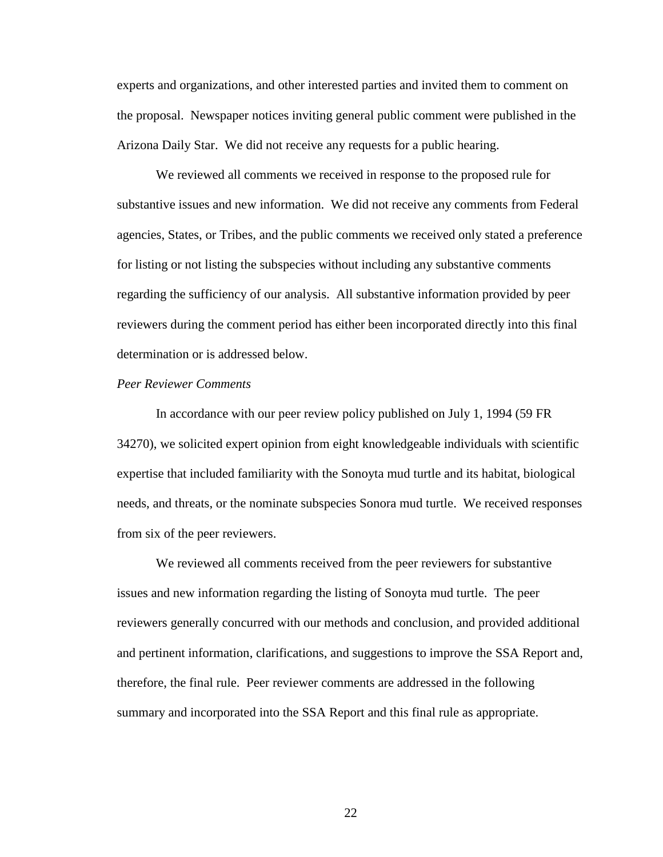experts and organizations, and other interested parties and invited them to comment on the proposal. Newspaper notices inviting general public comment were published in the Arizona Daily Star. We did not receive any requests for a public hearing.

We reviewed all comments we received in response to the proposed rule for substantive issues and new information. We did not receive any comments from Federal agencies, States, or Tribes, and the public comments we received only stated a preference for listing or not listing the subspecies without including any substantive comments regarding the sufficiency of our analysis. All substantive information provided by peer reviewers during the comment period has either been incorporated directly into this final determination or is addressed below.

#### *Peer Reviewer Comments*

In accordance with our peer review policy published on July 1, 1994 (59 FR 34270), we solicited expert opinion from eight knowledgeable individuals with scientific expertise that included familiarity with the Sonoyta mud turtle and its habitat, biological needs, and threats, or the nominate subspecies Sonora mud turtle. We received responses from six of the peer reviewers.

We reviewed all comments received from the peer reviewers for substantive issues and new information regarding the listing of Sonoyta mud turtle. The peer reviewers generally concurred with our methods and conclusion, and provided additional and pertinent information, clarifications, and suggestions to improve the SSA Report and, therefore, the final rule. Peer reviewer comments are addressed in the following summary and incorporated into the SSA Report and this final rule as appropriate.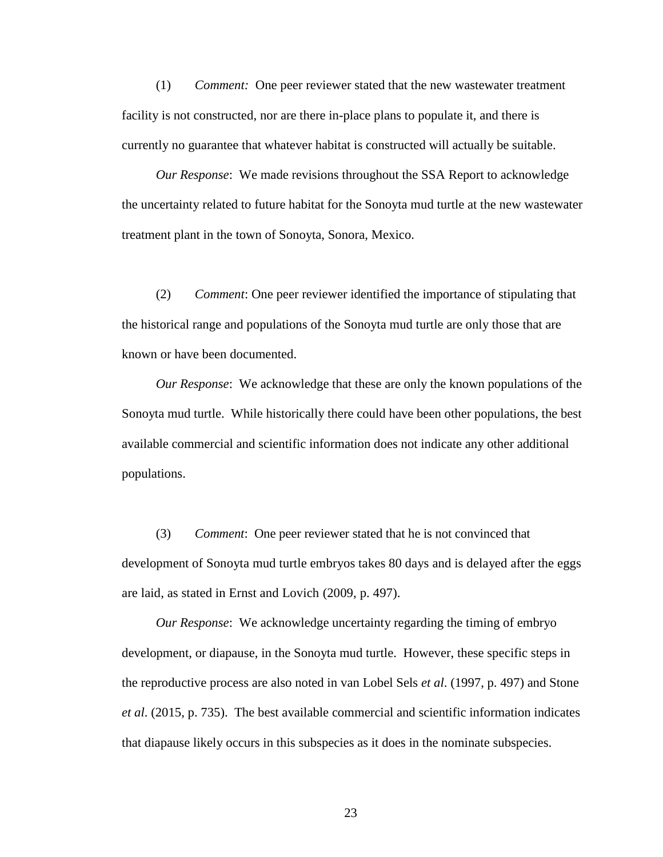(1) *Comment:* One peer reviewer stated that the new wastewater treatment facility is not constructed, nor are there in-place plans to populate it, and there is currently no guarantee that whatever habitat is constructed will actually be suitable.

*Our Response*: We made revisions throughout the SSA Report to acknowledge the uncertainty related to future habitat for the Sonoyta mud turtle at the new wastewater treatment plant in the town of Sonoyta, Sonora, Mexico.

(2) *Comment*: One peer reviewer identified the importance of stipulating that the historical range and populations of the Sonoyta mud turtle are only those that are known or have been documented.

*Our Response*: We acknowledge that these are only the known populations of the Sonoyta mud turtle. While historically there could have been other populations, the best available commercial and scientific information does not indicate any other additional populations.

(3) *Comment*: One peer reviewer stated that he is not convinced that development of Sonoyta mud turtle embryos takes 80 days and is delayed after the eggs are laid, as stated in Ernst and Lovich (2009, p. 497).

*Our Response*: We acknowledge uncertainty regarding the timing of embryo development, or diapause, in the Sonoyta mud turtle. However, these specific steps in the reproductive process are also noted in van Lobel Sels *et al*. (1997, p. 497) and Stone *et al*. (2015, p. 735). The best available commercial and scientific information indicates that diapause likely occurs in this subspecies as it does in the nominate subspecies.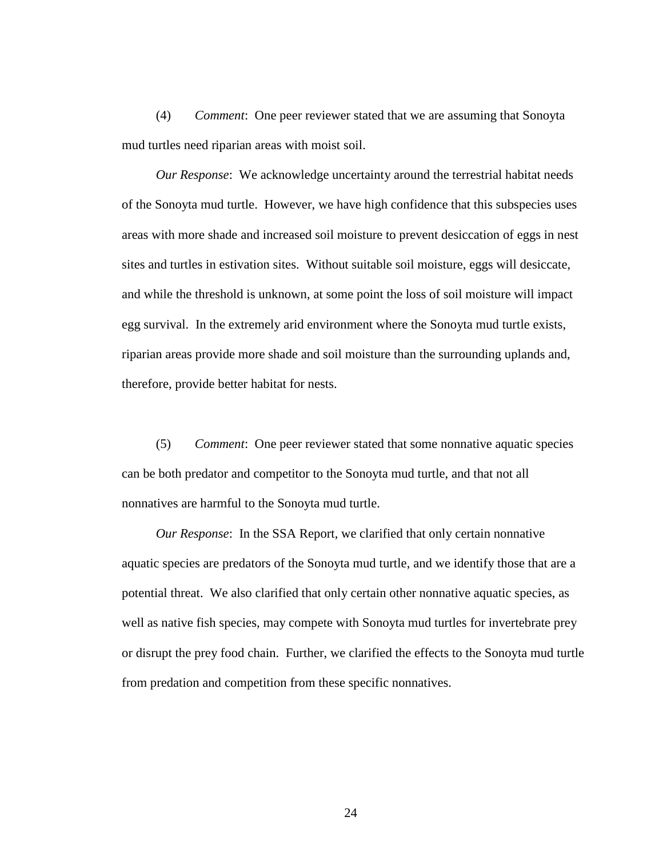(4) *Comment*: One peer reviewer stated that we are assuming that Sonoyta mud turtles need riparian areas with moist soil.

*Our Response*: We acknowledge uncertainty around the terrestrial habitat needs of the Sonoyta mud turtle. However, we have high confidence that this subspecies uses areas with more shade and increased soil moisture to prevent desiccation of eggs in nest sites and turtles in estivation sites. Without suitable soil moisture, eggs will desiccate, and while the threshold is unknown, at some point the loss of soil moisture will impact egg survival. In the extremely arid environment where the Sonoyta mud turtle exists, riparian areas provide more shade and soil moisture than the surrounding uplands and, therefore, provide better habitat for nests.

(5) *Comment*: One peer reviewer stated that some nonnative aquatic species can be both predator and competitor to the Sonoyta mud turtle, and that not all nonnatives are harmful to the Sonoyta mud turtle.

*Our Response*: In the SSA Report, we clarified that only certain nonnative aquatic species are predators of the Sonoyta mud turtle, and we identify those that are a potential threat. We also clarified that only certain other nonnative aquatic species, as well as native fish species, may compete with Sonoyta mud turtles for invertebrate prey or disrupt the prey food chain. Further, we clarified the effects to the Sonoyta mud turtle from predation and competition from these specific nonnatives.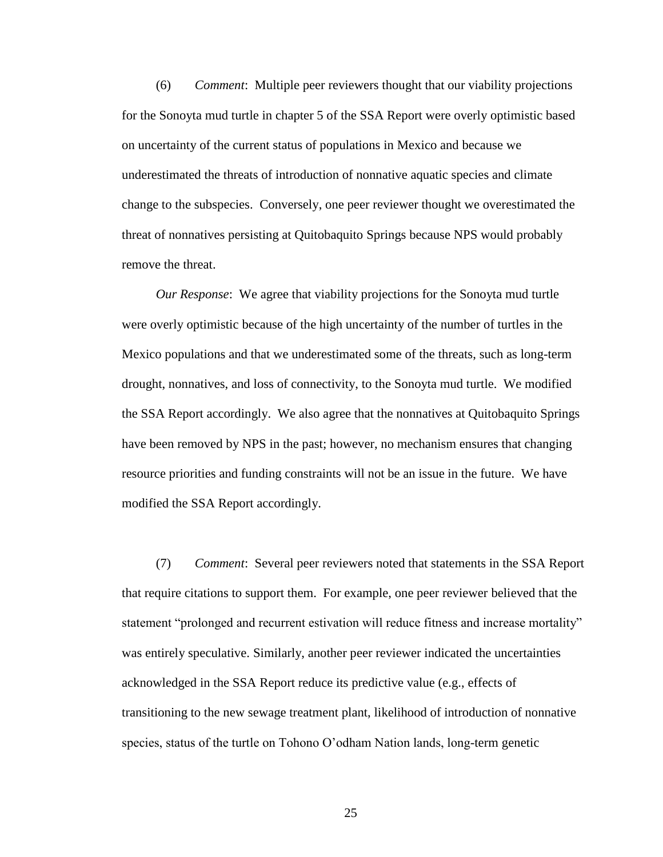(6) *Comment*: Multiple peer reviewers thought that our viability projections for the Sonoyta mud turtle in chapter 5 of the SSA Report were overly optimistic based on uncertainty of the current status of populations in Mexico and because we underestimated the threats of introduction of nonnative aquatic species and climate change to the subspecies. Conversely, one peer reviewer thought we overestimated the threat of nonnatives persisting at Quitobaquito Springs because NPS would probably remove the threat.

*Our Response*: We agree that viability projections for the Sonoyta mud turtle were overly optimistic because of the high uncertainty of the number of turtles in the Mexico populations and that we underestimated some of the threats, such as long-term drought, nonnatives, and loss of connectivity, to the Sonoyta mud turtle. We modified the SSA Report accordingly. We also agree that the nonnatives at Quitobaquito Springs have been removed by NPS in the past; however, no mechanism ensures that changing resource priorities and funding constraints will not be an issue in the future. We have modified the SSA Report accordingly.

(7) *Comment*: Several peer reviewers noted that statements in the SSA Report that require citations to support them. For example, one peer reviewer believed that the statement "prolonged and recurrent estivation will reduce fitness and increase mortality" was entirely speculative. Similarly, another peer reviewer indicated the uncertainties acknowledged in the SSA Report reduce its predictive value (e.g., effects of transitioning to the new sewage treatment plant, likelihood of introduction of nonnative species, status of the turtle on Tohono O'odham Nation lands, long-term genetic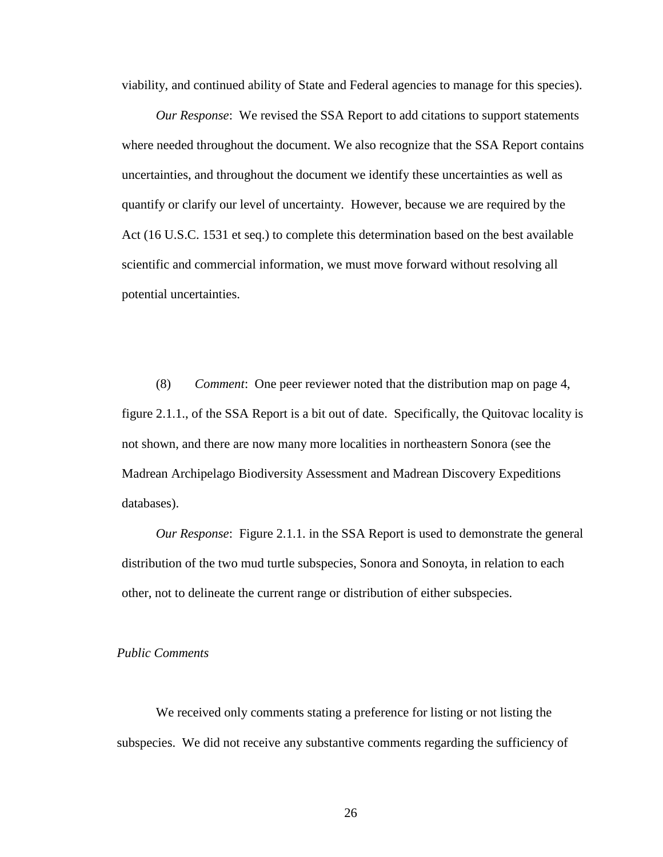viability, and continued ability of State and Federal agencies to manage for this species).

*Our Response*: We revised the SSA Report to add citations to support statements where needed throughout the document. We also recognize that the SSA Report contains uncertainties, and throughout the document we identify these uncertainties as well as quantify or clarify our level of uncertainty. However, because we are required by the Act (16 U.S.C. 1531 et seq.) to complete this determination based on the best available scientific and commercial information, we must move forward without resolving all potential uncertainties.

(8) *Comment*: One peer reviewer noted that the distribution map on page 4, figure 2.1.1., of the SSA Report is a bit out of date. Specifically, the Quitovac locality is not shown, and there are now many more localities in northeastern Sonora (see the Madrean Archipelago Biodiversity Assessment and Madrean Discovery Expeditions databases).

*Our Response*: Figure 2.1.1. in the SSA Report is used to demonstrate the general distribution of the two mud turtle subspecies, Sonora and Sonoyta, in relation to each other, not to delineate the current range or distribution of either subspecies.

# *Public Comments*

We received only comments stating a preference for listing or not listing the subspecies. We did not receive any substantive comments regarding the sufficiency of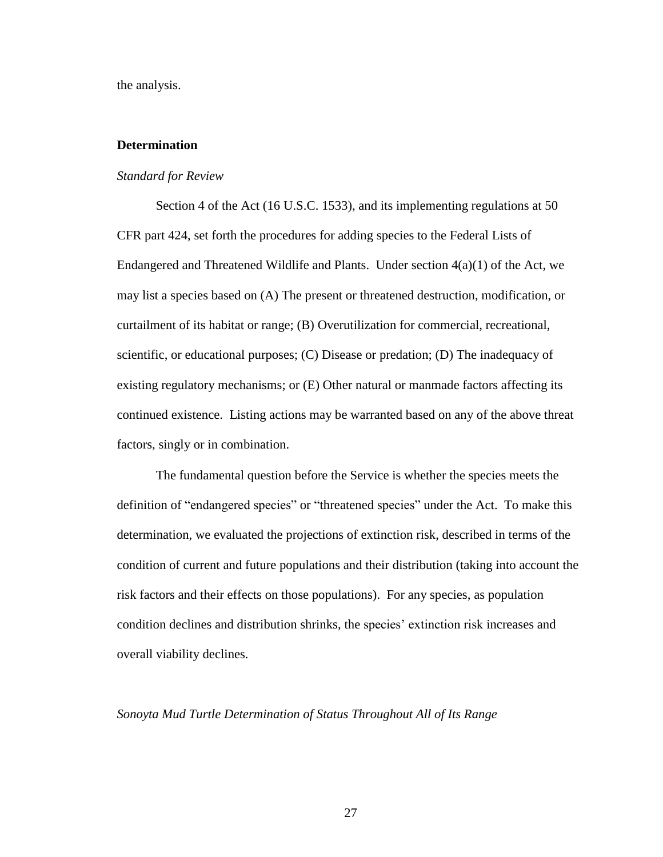the analysis.

# **Determination**

## *Standard for Review*

Section 4 of the Act (16 U.S.C. 1533), and its implementing regulations at 50 CFR part 424, set forth the procedures for adding species to the Federal Lists of Endangered and Threatened Wildlife and Plants. Under section  $4(a)(1)$  of the Act, we may list a species based on (A) The present or threatened destruction, modification, or curtailment of its habitat or range; (B) Overutilization for commercial, recreational, scientific, or educational purposes; (C) Disease or predation; (D) The inadequacy of existing regulatory mechanisms; or (E) Other natural or manmade factors affecting its continued existence. Listing actions may be warranted based on any of the above threat factors, singly or in combination.

The fundamental question before the Service is whether the species meets the definition of "endangered species" or "threatened species" under the Act. To make this determination, we evaluated the projections of extinction risk, described in terms of the condition of current and future populations and their distribution (taking into account the risk factors and their effects on those populations). For any species, as population condition declines and distribution shrinks, the species' extinction risk increases and overall viability declines.

# *Sonoyta Mud Turtle Determination of Status Throughout All of Its Range*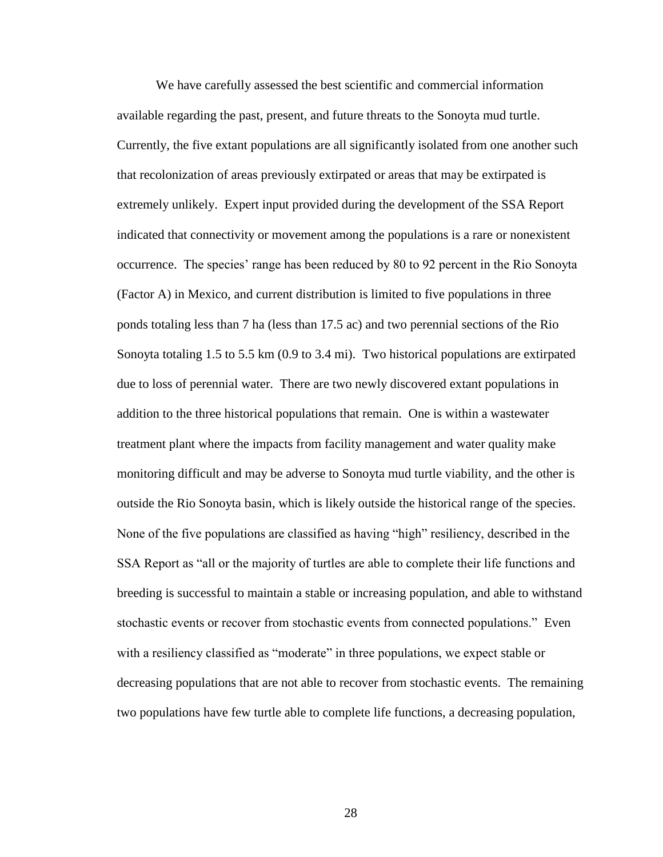We have carefully assessed the best scientific and commercial information available regarding the past, present, and future threats to the Sonoyta mud turtle. Currently, the five extant populations are all significantly isolated from one another such that recolonization of areas previously extirpated or areas that may be extirpated is extremely unlikely. Expert input provided during the development of the SSA Report indicated that connectivity or movement among the populations is a rare or nonexistent occurrence. The species' range has been reduced by 80 to 92 percent in the Rio Sonoyta (Factor A) in Mexico, and current distribution is limited to five populations in three ponds totaling less than 7 ha (less than 17.5 ac) and two perennial sections of the Rio Sonoyta totaling 1.5 to 5.5 km (0.9 to 3.4 mi). Two historical populations are extirpated due to loss of perennial water. There are two newly discovered extant populations in addition to the three historical populations that remain. One is within a wastewater treatment plant where the impacts from facility management and water quality make monitoring difficult and may be adverse to Sonoyta mud turtle viability, and the other is outside the Rio Sonoyta basin, which is likely outside the historical range of the species. None of the five populations are classified as having "high" resiliency, described in the SSA Report as "all or the majority of turtles are able to complete their life functions and breeding is successful to maintain a stable or increasing population, and able to withstand stochastic events or recover from stochastic events from connected populations." Even with a resiliency classified as "moderate" in three populations, we expect stable or decreasing populations that are not able to recover from stochastic events. The remaining two populations have few turtle able to complete life functions, a decreasing population,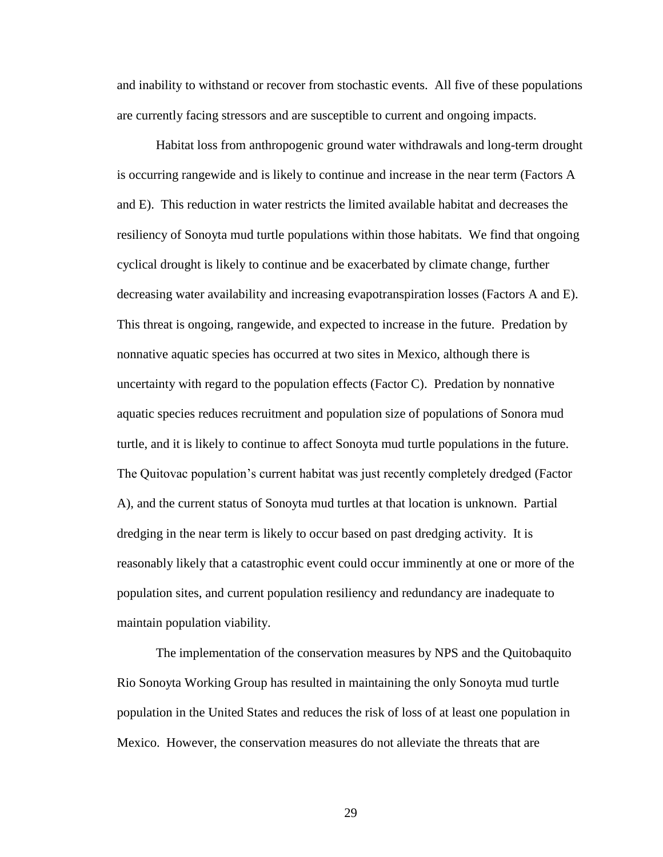and inability to withstand or recover from stochastic events. All five of these populations are currently facing stressors and are susceptible to current and ongoing impacts.

Habitat loss from anthropogenic ground water withdrawals and long-term drought is occurring rangewide and is likely to continue and increase in the near term (Factors A and E). This reduction in water restricts the limited available habitat and decreases the resiliency of Sonoyta mud turtle populations within those habitats. We find that ongoing cyclical drought is likely to continue and be exacerbated by climate change, further decreasing water availability and increasing evapotranspiration losses (Factors A and E). This threat is ongoing, rangewide, and expected to increase in the future. Predation by nonnative aquatic species has occurred at two sites in Mexico, although there is uncertainty with regard to the population effects (Factor C). Predation by nonnative aquatic species reduces recruitment and population size of populations of Sonora mud turtle, and it is likely to continue to affect Sonoyta mud turtle populations in the future. The Quitovac population's current habitat was just recently completely dredged (Factor A), and the current status of Sonoyta mud turtles at that location is unknown. Partial dredging in the near term is likely to occur based on past dredging activity. It is reasonably likely that a catastrophic event could occur imminently at one or more of the population sites, and current population resiliency and redundancy are inadequate to maintain population viability.

The implementation of the conservation measures by NPS and the Quitobaquito Rio Sonoyta Working Group has resulted in maintaining the only Sonoyta mud turtle population in the United States and reduces the risk of loss of at least one population in Mexico. However, the conservation measures do not alleviate the threats that are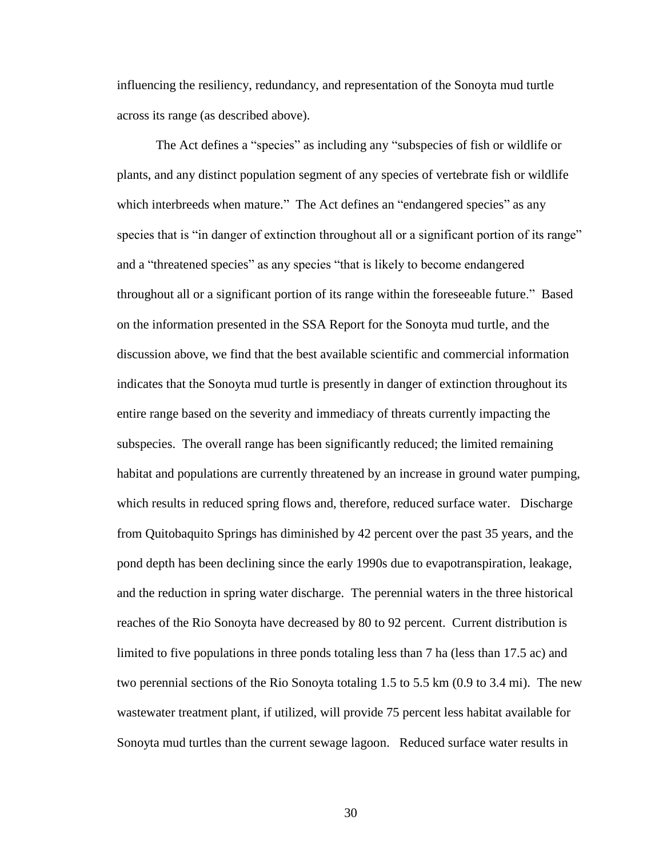influencing the resiliency, redundancy, and representation of the Sonoyta mud turtle across its range (as described above).

The Act defines a "species" as including any "subspecies of fish or wildlife or plants, and any distinct population segment of any species of vertebrate fish or wildlife which interbreeds when mature." The Act defines an "endangered species" as any species that is "in danger of extinction throughout all or a significant portion of its range" and a "threatened species" as any species "that is likely to become endangered throughout all or a significant portion of its range within the foreseeable future." Based on the information presented in the SSA Report for the Sonoyta mud turtle, and the discussion above, we find that the best available scientific and commercial information indicates that the Sonoyta mud turtle is presently in danger of extinction throughout its entire range based on the severity and immediacy of threats currently impacting the subspecies. The overall range has been significantly reduced; the limited remaining habitat and populations are currently threatened by an increase in ground water pumping, which results in reduced spring flows and, therefore, reduced surface water. Discharge from Quitobaquito Springs has diminished by 42 percent over the past 35 years, and the pond depth has been declining since the early 1990s due to evapotranspiration, leakage, and the reduction in spring water discharge. The perennial waters in the three historical reaches of the Rio Sonoyta have decreased by 80 to 92 percent. Current distribution is limited to five populations in three ponds totaling less than 7 ha (less than 17.5 ac) and two perennial sections of the Rio Sonoyta totaling 1.5 to 5.5 km (0.9 to 3.4 mi). The new wastewater treatment plant, if utilized, will provide 75 percent less habitat available for Sonoyta mud turtles than the current sewage lagoon. Reduced surface water results in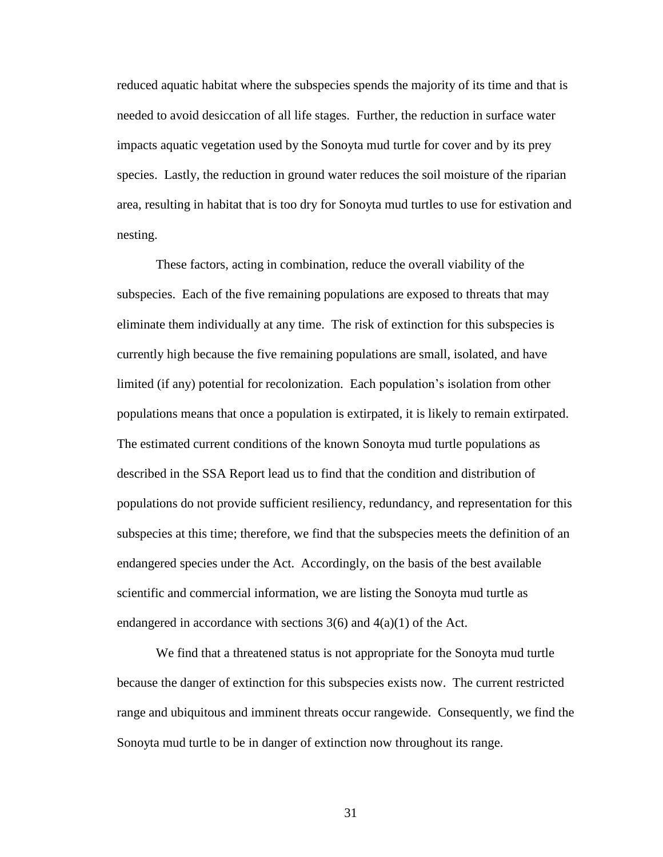reduced aquatic habitat where the subspecies spends the majority of its time and that is needed to avoid desiccation of all life stages. Further, the reduction in surface water impacts aquatic vegetation used by the Sonoyta mud turtle for cover and by its prey species. Lastly, the reduction in ground water reduces the soil moisture of the riparian area, resulting in habitat that is too dry for Sonoyta mud turtles to use for estivation and nesting.

These factors, acting in combination, reduce the overall viability of the subspecies. Each of the five remaining populations are exposed to threats that may eliminate them individually at any time. The risk of extinction for this subspecies is currently high because the five remaining populations are small, isolated, and have limited (if any) potential for recolonization. Each population's isolation from other populations means that once a population is extirpated, it is likely to remain extirpated. The estimated current conditions of the known Sonoyta mud turtle populations as described in the SSA Report lead us to find that the condition and distribution of populations do not provide sufficient resiliency, redundancy, and representation for this subspecies at this time; therefore, we find that the subspecies meets the definition of an endangered species under the Act. Accordingly, on the basis of the best available scientific and commercial information, we are listing the Sonoyta mud turtle as endangered in accordance with sections  $3(6)$  and  $4(a)(1)$  of the Act.

We find that a threatened status is not appropriate for the Sonoyta mud turtle because the danger of extinction for this subspecies exists now. The current restricted range and ubiquitous and imminent threats occur rangewide. Consequently, we find the Sonoyta mud turtle to be in danger of extinction now throughout its range.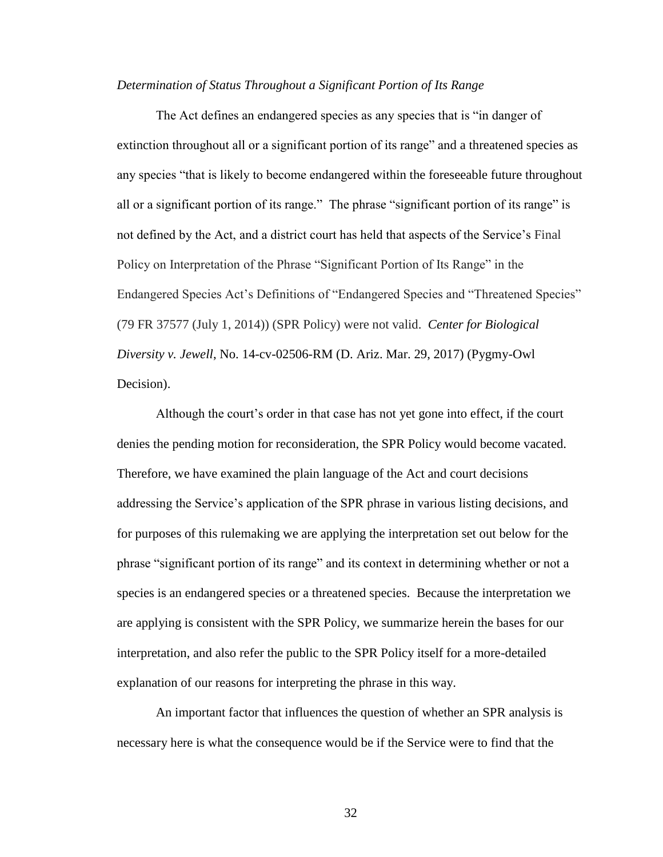#### *Determination of Status Throughout a Significant Portion of Its Range*

The Act defines an endangered species as any species that is "in danger of extinction throughout all or a significant portion of its range" and a threatened species as any species "that is likely to become endangered within the foreseeable future throughout all or a significant portion of its range." The phrase "significant portion of its range" is not defined by the Act, and a district court has held that aspects of the Service's Final Policy on Interpretation of the Phrase "Significant Portion of Its Range" in the Endangered Species Act's Definitions of "Endangered Species and "Threatened Species" (79 FR 37577 (July 1, 2014)) (SPR Policy) were not valid. *Center for Biological Diversity v. Jewell*, No. 14-cv-02506-RM (D. Ariz. Mar. 29, 2017) (Pygmy-Owl Decision).

Although the court's order in that case has not yet gone into effect, if the court denies the pending motion for reconsideration, the SPR Policy would become vacated. Therefore, we have examined the plain language of the Act and court decisions addressing the Service's application of the SPR phrase in various listing decisions, and for purposes of this rulemaking we are applying the interpretation set out below for the phrase "significant portion of its range" and its context in determining whether or not a species is an endangered species or a threatened species. Because the interpretation we are applying is consistent with the SPR Policy, we summarize herein the bases for our interpretation, and also refer the public to the SPR Policy itself for a more-detailed explanation of our reasons for interpreting the phrase in this way.

An important factor that influences the question of whether an SPR analysis is necessary here is what the consequence would be if the Service were to find that the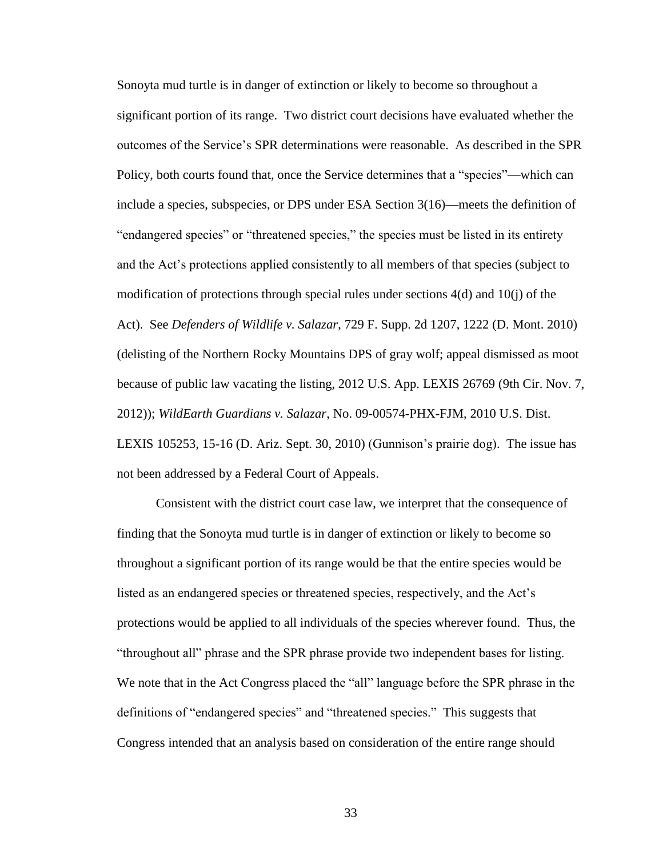Sonoyta mud turtle is in danger of extinction or likely to become so throughout a significant portion of its range. Two district court decisions have evaluated whether the outcomes of the Service's SPR determinations were reasonable. As described in the SPR Policy, both courts found that, once the Service determines that a "species"—which can include a species, subspecies, or DPS under ESA Section 3(16)—meets the definition of "endangered species" or "threatened species," the species must be listed in its entirety and the Act's protections applied consistently to all members of that species (subject to modification of protections through special rules under sections 4(d) and 10(j) of the Act). See *Defenders of Wildlife v. Salazar*, 729 F. Supp. 2d 1207, 1222 (D. Mont. 2010) (delisting of the Northern Rocky Mountains DPS of gray wolf; appeal dismissed as moot because of public law vacating the listing, 2012 U.S. App. LEXIS 26769 (9th Cir. Nov. 7, 2012)); *WildEarth Guardians v. Salazar*, No. 09-00574-PHX-FJM, 2010 U.S. Dist. LEXIS 105253, 15-16 (D. Ariz. Sept. 30, 2010) (Gunnison's prairie dog). The issue has not been addressed by a Federal Court of Appeals.

Consistent with the district court case law, we interpret that the consequence of finding that the Sonoyta mud turtle is in danger of extinction or likely to become so throughout a significant portion of its range would be that the entire species would be listed as an endangered species or threatened species, respectively, and the Act's protections would be applied to all individuals of the species wherever found. Thus, the "throughout all" phrase and the SPR phrase provide two independent bases for listing. We note that in the Act Congress placed the "all" language before the SPR phrase in the definitions of "endangered species" and "threatened species." This suggests that Congress intended that an analysis based on consideration of the entire range should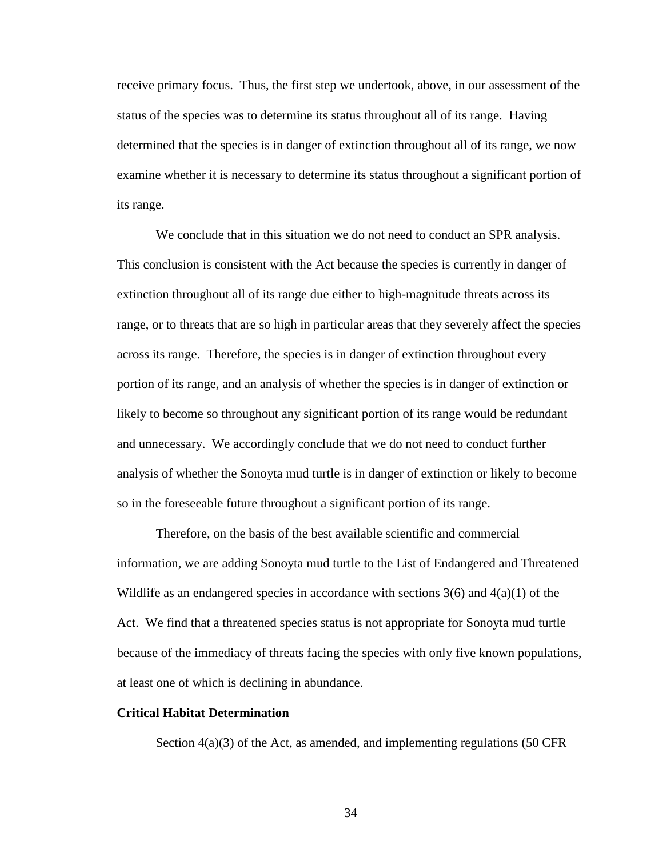receive primary focus. Thus, the first step we undertook, above, in our assessment of the status of the species was to determine its status throughout all of its range. Having determined that the species is in danger of extinction throughout all of its range, we now examine whether it is necessary to determine its status throughout a significant portion of its range.

We conclude that in this situation we do not need to conduct an SPR analysis. This conclusion is consistent with the Act because the species is currently in danger of extinction throughout all of its range due either to high-magnitude threats across its range, or to threats that are so high in particular areas that they severely affect the species across its range. Therefore, the species is in danger of extinction throughout every portion of its range, and an analysis of whether the species is in danger of extinction or likely to become so throughout any significant portion of its range would be redundant and unnecessary. We accordingly conclude that we do not need to conduct further analysis of whether the Sonoyta mud turtle is in danger of extinction or likely to become so in the foreseeable future throughout a significant portion of its range.

Therefore, on the basis of the best available scientific and commercial information, we are adding Sonoyta mud turtle to the List of Endangered and Threatened Wildlife as an endangered species in accordance with sections  $3(6)$  and  $4(a)(1)$  of the Act. We find that a threatened species status is not appropriate for Sonoyta mud turtle because of the immediacy of threats facing the species with only five known populations, at least one of which is declining in abundance.

# **Critical Habitat Determination**

Section  $4(a)(3)$  of the Act, as amended, and implementing regulations (50 CFR)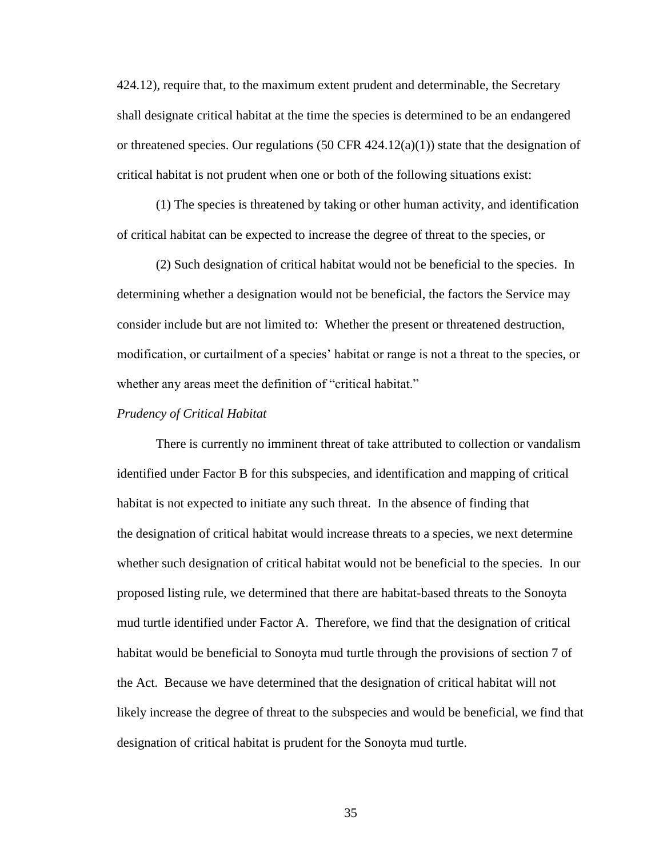424.12), require that, to the maximum extent prudent and determinable, the Secretary shall designate critical habitat at the time the species is determined to be an endangered or threatened species. Our regulations (50 CFR  $424.12(a)(1)$ ) state that the designation of critical habitat is not prudent when one or both of the following situations exist:

(1) The species is threatened by taking or other human activity, and identification of critical habitat can be expected to increase the degree of threat to the species, or

(2) Such designation of critical habitat would not be beneficial to the species. In determining whether a designation would not be beneficial, the factors the Service may consider include but are not limited to: Whether the present or threatened destruction, modification, or curtailment of a species' habitat or range is not a threat to the species, or whether any areas meet the definition of "critical habitat."

#### *Prudency of Critical Habitat*

There is currently no imminent threat of take attributed to collection or vandalism identified under Factor B for this subspecies, and identification and mapping of critical habitat is not expected to initiate any such threat. In the absence of finding that the designation of critical habitat would increase threats to a species, we next determine whether such designation of critical habitat would not be beneficial to the species. In our proposed listing rule, we determined that there are habitat-based threats to the Sonoyta mud turtle identified under Factor A. Therefore, we find that the designation of critical habitat would be beneficial to Sonoyta mud turtle through the provisions of section 7 of the Act. Because we have determined that the designation of critical habitat will not likely increase the degree of threat to the subspecies and would be beneficial, we find that designation of critical habitat is prudent for the Sonoyta mud turtle.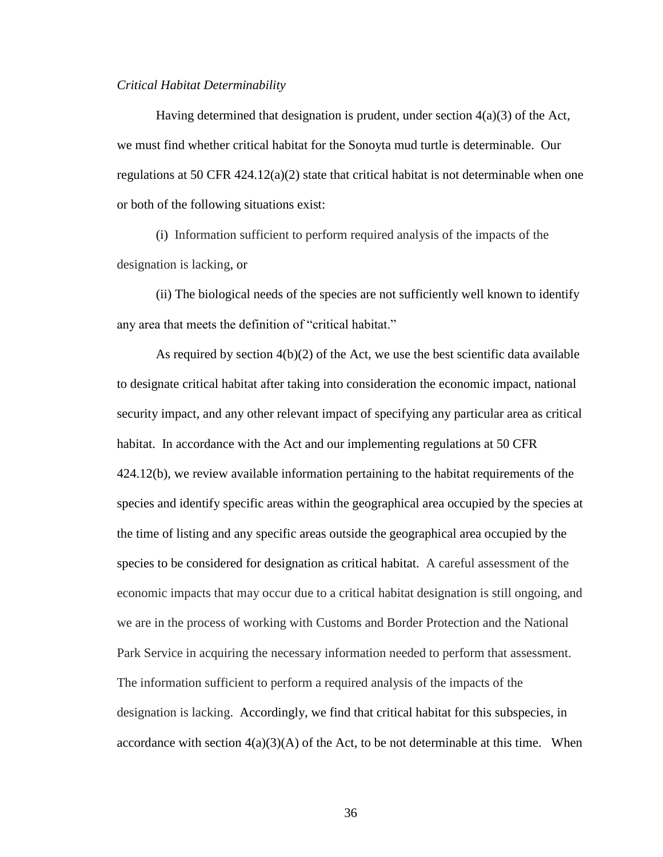#### *Critical Habitat Determinability*

Having determined that designation is prudent, under section 4(a)(3) of the Act, we must find whether critical habitat for the Sonoyta mud turtle is determinable. Our regulations at 50 CFR  $424.12(a)(2)$  state that critical habitat is not determinable when one or both of the following situations exist:

(i) Information sufficient to perform required analysis of the impacts of the designation is lacking, or

(ii) The biological needs of the species are not sufficiently well known to identify any area that meets the definition of "critical habitat."

As required by section  $4(b)(2)$  of the Act, we use the best scientific data available to designate critical habitat after taking into consideration the economic impact, national security impact, and any other relevant impact of specifying any particular area as critical habitat. In accordance with the Act and our implementing regulations at 50 CFR 424.12(b), we review available information pertaining to the habitat requirements of the species and identify specific areas within the geographical area occupied by the species at the time of listing and any specific areas outside the geographical area occupied by the species to be considered for designation as critical habitat. A careful assessment of the economic impacts that may occur due to a critical habitat designation is still ongoing, and we are in the process of working with Customs and Border Protection and the National Park Service in acquiring the necessary information needed to perform that assessment. The information sufficient to perform a required analysis of the impacts of the designation is lacking. Accordingly, we find that critical habitat for this subspecies, in accordance with section  $4(a)(3)(A)$  of the Act, to be not determinable at this time. When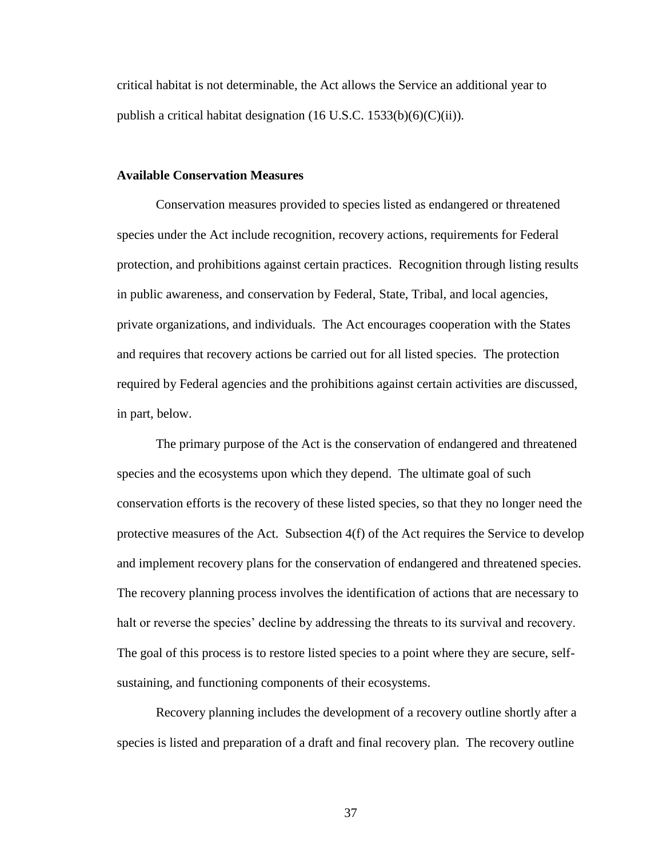critical habitat is not determinable, the Act allows the Service an additional year to publish a critical habitat designation (16 U.S.C. 1533(b)(6)(C)(ii)).

### **Available Conservation Measures**

Conservation measures provided to species listed as endangered or threatened species under the Act include recognition, recovery actions, requirements for Federal protection, and prohibitions against certain practices. Recognition through listing results in public awareness, and conservation by Federal, State, Tribal, and local agencies, private organizations, and individuals. The Act encourages cooperation with the States and requires that recovery actions be carried out for all listed species. The protection required by Federal agencies and the prohibitions against certain activities are discussed, in part, below.

The primary purpose of the Act is the conservation of endangered and threatened species and the ecosystems upon which they depend. The ultimate goal of such conservation efforts is the recovery of these listed species, so that they no longer need the protective measures of the Act. Subsection 4(f) of the Act requires the Service to develop and implement recovery plans for the conservation of endangered and threatened species. The recovery planning process involves the identification of actions that are necessary to halt or reverse the species' decline by addressing the threats to its survival and recovery. The goal of this process is to restore listed species to a point where they are secure, selfsustaining, and functioning components of their ecosystems.

Recovery planning includes the development of a recovery outline shortly after a species is listed and preparation of a draft and final recovery plan. The recovery outline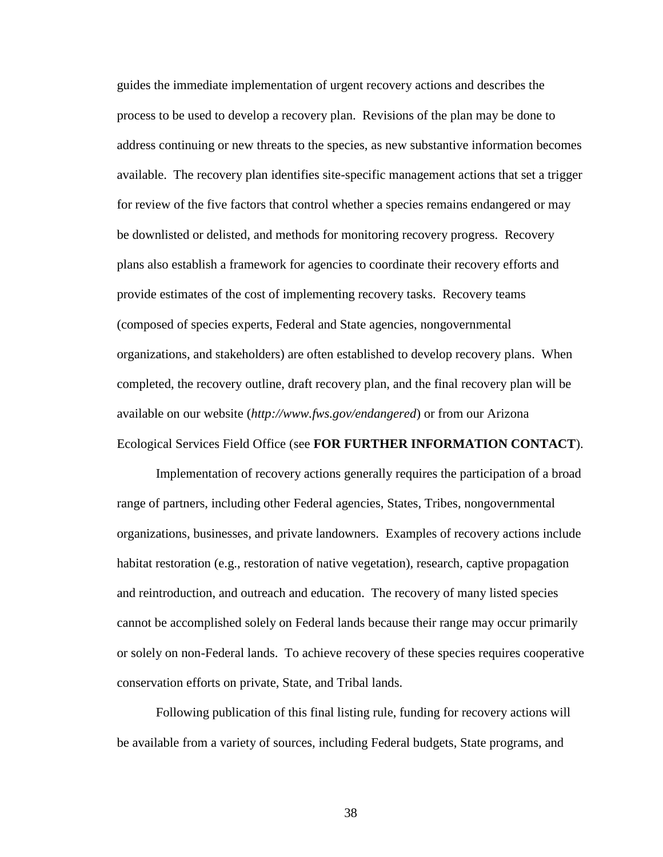guides the immediate implementation of urgent recovery actions and describes the process to be used to develop a recovery plan. Revisions of the plan may be done to address continuing or new threats to the species, as new substantive information becomes available. The recovery plan identifies site-specific management actions that set a trigger for review of the five factors that control whether a species remains endangered or may be downlisted or delisted, and methods for monitoring recovery progress. Recovery plans also establish a framework for agencies to coordinate their recovery efforts and provide estimates of the cost of implementing recovery tasks. Recovery teams (composed of species experts, Federal and State agencies, nongovernmental organizations, and stakeholders) are often established to develop recovery plans. When completed, the recovery outline, draft recovery plan, and the final recovery plan will be available on our website (*http://www.fws.gov/endangered*) or from our Arizona Ecological Services Field Office (see **FOR FURTHER INFORMATION CONTACT**).

Implementation of recovery actions generally requires the participation of a broad range of partners, including other Federal agencies, States, Tribes, nongovernmental organizations, businesses, and private landowners. Examples of recovery actions include habitat restoration (e.g., restoration of native vegetation), research, captive propagation and reintroduction, and outreach and education. The recovery of many listed species cannot be accomplished solely on Federal lands because their range may occur primarily or solely on non-Federal lands. To achieve recovery of these species requires cooperative conservation efforts on private, State, and Tribal lands.

Following publication of this final listing rule, funding for recovery actions will be available from a variety of sources, including Federal budgets, State programs, and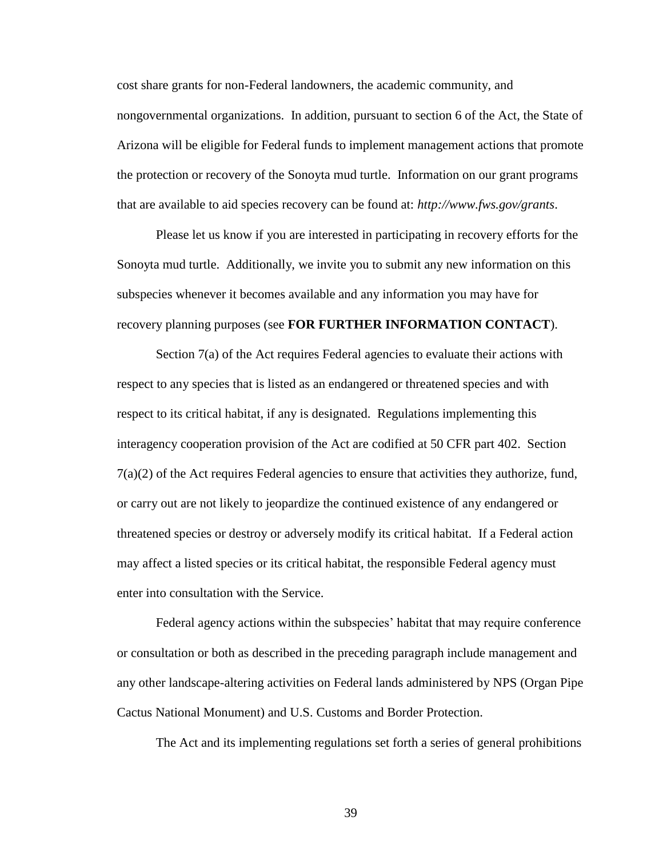cost share grants for non-Federal landowners, the academic community, and nongovernmental organizations. In addition, pursuant to section 6 of the Act, the State of Arizona will be eligible for Federal funds to implement management actions that promote the protection or recovery of the Sonoyta mud turtle. Information on our grant programs that are available to aid species recovery can be found at: *http://www.fws.gov/grants*.

Please let us know if you are interested in participating in recovery efforts for the Sonoyta mud turtle. Additionally, we invite you to submit any new information on this subspecies whenever it becomes available and any information you may have for recovery planning purposes (see **FOR FURTHER INFORMATION CONTACT**).

Section 7(a) of the Act requires Federal agencies to evaluate their actions with respect to any species that is listed as an endangered or threatened species and with respect to its critical habitat, if any is designated. Regulations implementing this interagency cooperation provision of the Act are codified at 50 CFR part 402. Section 7(a)(2) of the Act requires Federal agencies to ensure that activities they authorize, fund, or carry out are not likely to jeopardize the continued existence of any endangered or threatened species or destroy or adversely modify its critical habitat. If a Federal action may affect a listed species or its critical habitat, the responsible Federal agency must enter into consultation with the Service.

Federal agency actions within the subspecies' habitat that may require conference or consultation or both as described in the preceding paragraph include management and any other landscape-altering activities on Federal lands administered by NPS (Organ Pipe Cactus National Monument) and U.S. Customs and Border Protection.

The Act and its implementing regulations set forth a series of general prohibitions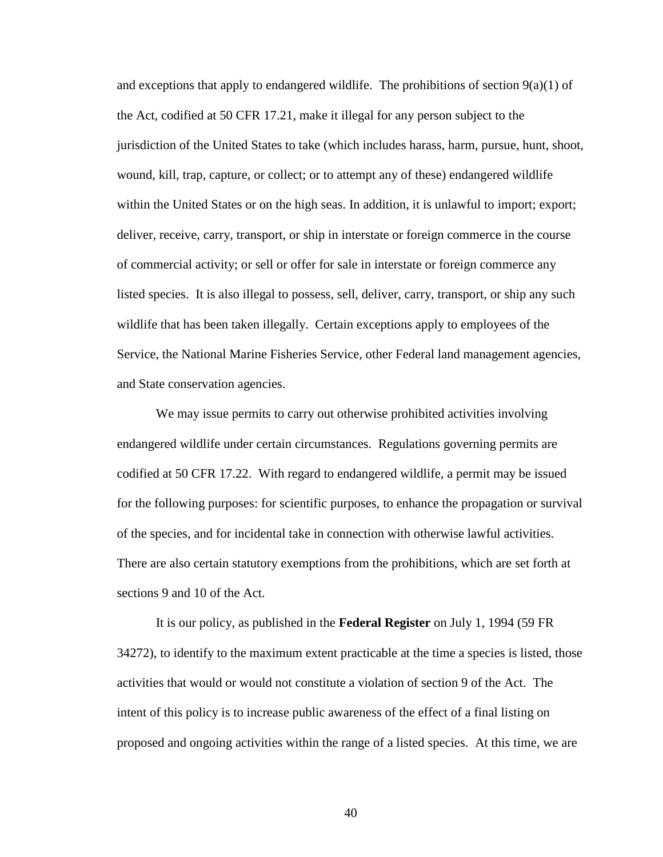and exceptions that apply to endangered wildlife. The prohibitions of section  $9(a)(1)$  of the Act, codified at 50 CFR 17.21, make it illegal for any person subject to the jurisdiction of the United States to take (which includes harass, harm, pursue, hunt, shoot, wound, kill, trap, capture, or collect; or to attempt any of these) endangered wildlife within the United States or on the high seas. In addition, it is unlawful to import; export; deliver, receive, carry, transport, or ship in interstate or foreign commerce in the course of commercial activity; or sell or offer for sale in interstate or foreign commerce any listed species. It is also illegal to possess, sell, deliver, carry, transport, or ship any such wildlife that has been taken illegally. Certain exceptions apply to employees of the Service, the National Marine Fisheries Service, other Federal land management agencies, and State conservation agencies.

We may issue permits to carry out otherwise prohibited activities involving endangered wildlife under certain circumstances. Regulations governing permits are codified at 50 CFR 17.22. With regard to endangered wildlife, a permit may be issued for the following purposes: for scientific purposes, to enhance the propagation or survival of the species, and for incidental take in connection with otherwise lawful activities. There are also certain statutory exemptions from the prohibitions, which are set forth at sections 9 and 10 of the Act.

It is our policy, as published in the **Federal Register** on July 1, 1994 (59 FR 34272), to identify to the maximum extent practicable at the time a species is listed, those activities that would or would not constitute a violation of section 9 of the Act. The intent of this policy is to increase public awareness of the effect of a final listing on proposed and ongoing activities within the range of a listed species. At this time, we are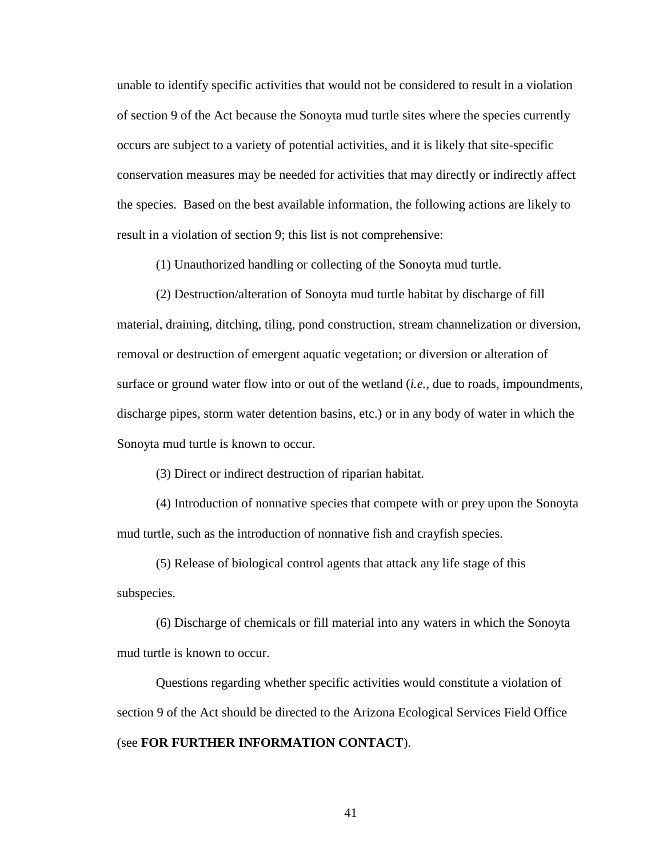unable to identify specific activities that would not be considered to result in a violation of section 9 of the Act because the Sonoyta mud turtle sites where the species currently occurs are subject to a variety of potential activities, and it is likely that site-specific conservation measures may be needed for activities that may directly or indirectly affect the species. Based on the best available information, the following actions are likely to result in a violation of section 9; this list is not comprehensive:

(1) Unauthorized handling or collecting of the Sonoyta mud turtle.

(2) Destruction/alteration of Sonoyta mud turtle habitat by discharge of fill material, draining, ditching, tiling, pond construction, stream channelization or diversion, removal or destruction of emergent aquatic vegetation; or diversion or alteration of surface or ground water flow into or out of the wetland (*i.e.,* due to roads, impoundments, discharge pipes, storm water detention basins, etc.) or in any body of water in which the Sonoyta mud turtle is known to occur.

(3) Direct or indirect destruction of riparian habitat.

(4) Introduction of nonnative species that compete with or prey upon the Sonoyta mud turtle, such as the introduction of nonnative fish and crayfish species.

(5) Release of biological control agents that attack any life stage of this subspecies.

(6) Discharge of chemicals or fill material into any waters in which the Sonoyta mud turtle is known to occur.

Questions regarding whether specific activities would constitute a violation of section 9 of the Act should be directed to the Arizona Ecological Services Field Office (see **FOR FURTHER INFORMATION CONTACT**).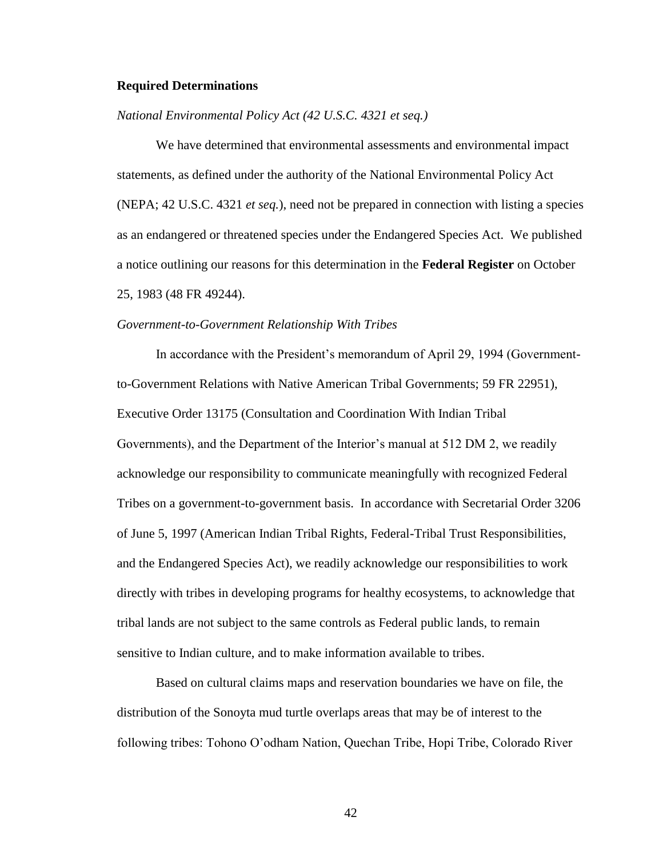#### **Required Determinations**

# *National Environmental Policy Act (42 U.S.C. 4321 et seq.)*

We have determined that environmental assessments and environmental impact statements, as defined under the authority of the National Environmental Policy Act (NEPA; 42 U.S.C. 4321 *et seq.*), need not be prepared in connection with listing a species as an endangered or threatened species under the Endangered Species Act. We published a notice outlining our reasons for this determination in the **Federal Register** on October 25, 1983 (48 FR 49244).

#### *Government-to-Government Relationship With Tribes*

In accordance with the President's memorandum of April 29, 1994 (Governmentto-Government Relations with Native American Tribal Governments; 59 FR 22951), Executive Order 13175 (Consultation and Coordination With Indian Tribal Governments), and the Department of the Interior's manual at 512 DM 2, we readily acknowledge our responsibility to communicate meaningfully with recognized Federal Tribes on a government-to-government basis. In accordance with Secretarial Order 3206 of June 5, 1997 (American Indian Tribal Rights, Federal-Tribal Trust Responsibilities, and the Endangered Species Act), we readily acknowledge our responsibilities to work directly with tribes in developing programs for healthy ecosystems, to acknowledge that tribal lands are not subject to the same controls as Federal public lands, to remain sensitive to Indian culture, and to make information available to tribes.

Based on cultural claims maps and reservation boundaries we have on file, the distribution of the Sonoyta mud turtle overlaps areas that may be of interest to the following tribes: Tohono O'odham Nation, Quechan Tribe, Hopi Tribe, Colorado River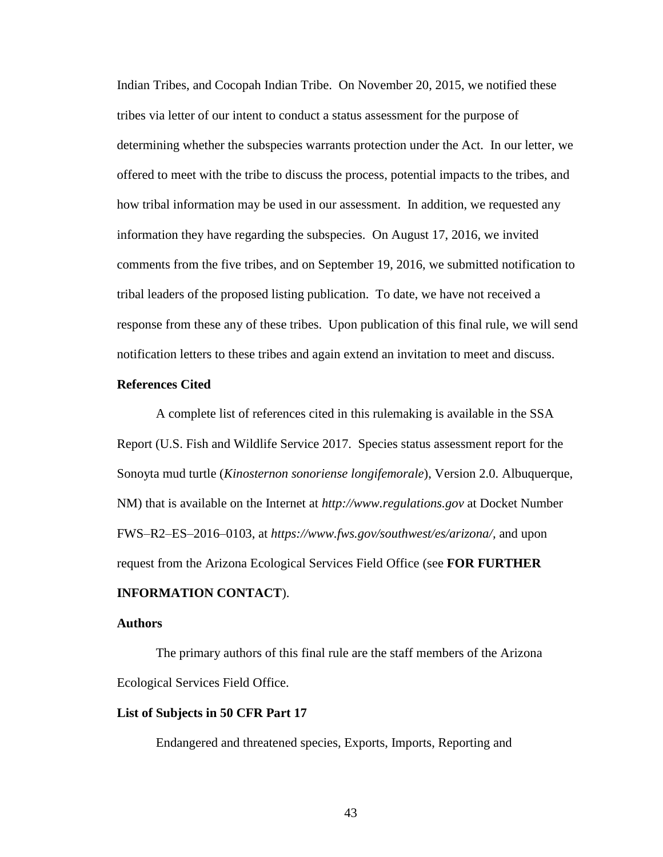Indian Tribes, and Cocopah Indian Tribe. On November 20, 2015, we notified these tribes via letter of our intent to conduct a status assessment for the purpose of determining whether the subspecies warrants protection under the Act. In our letter, we offered to meet with the tribe to discuss the process, potential impacts to the tribes, and how tribal information may be used in our assessment. In addition, we requested any information they have regarding the subspecies. On August 17, 2016, we invited comments from the five tribes, and on September 19, 2016, we submitted notification to tribal leaders of the proposed listing publication. To date, we have not received a response from these any of these tribes. Upon publication of this final rule, we will send notification letters to these tribes and again extend an invitation to meet and discuss.

## **References Cited**

A complete list of references cited in this rulemaking is available in the SSA Report (U.S. Fish and Wildlife Service 2017. Species status assessment report for the Sonoyta mud turtle (*Kinosternon sonoriense longifemorale*), Version 2.0. Albuquerque, NM) that is available on the Internet at *http://www.regulations.gov* at Docket Number FWS–R2–ES–2016–0103, at *https://www.fws.gov/southwest/es/arizona/,* and upon request from the Arizona Ecological Services Field Office (see **FOR FURTHER** 

# **INFORMATION CONTACT**).

## **Authors**

The primary authors of this final rule are the staff members of the Arizona Ecological Services Field Office.

# **List of Subjects in 50 CFR Part 17**

Endangered and threatened species, Exports, Imports, Reporting and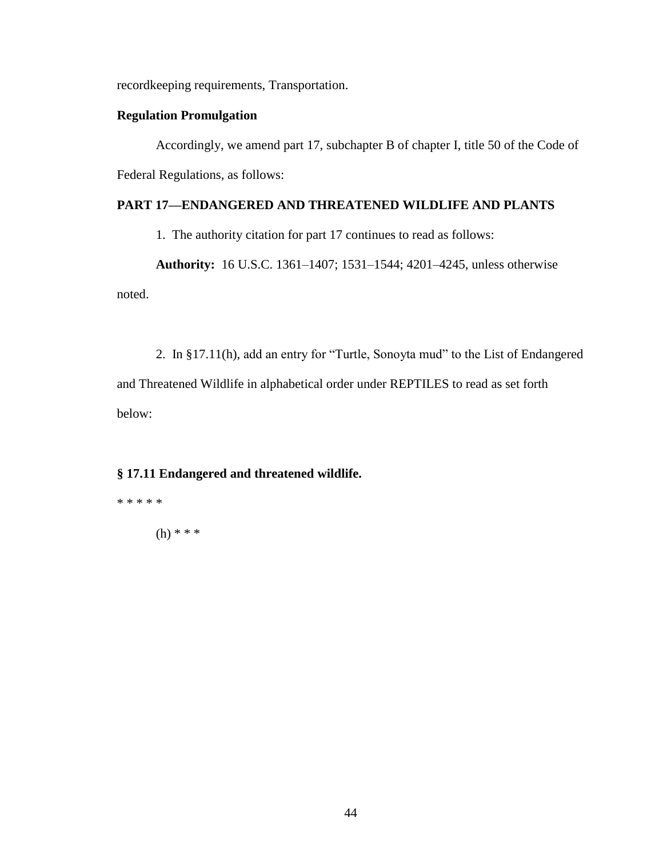recordkeeping requirements, Transportation.

# **Regulation Promulgation**

Accordingly, we amend part 17, subchapter B of chapter I, title 50 of the Code of Federal Regulations, as follows:

# **PART 17—ENDANGERED AND THREATENED WILDLIFE AND PLANTS**

1. The authority citation for part 17 continues to read as follows:

**Authority:** 16 U.S.C. 1361–1407; 1531–1544; 4201–4245, unless otherwise noted.

2. In §17.11(h), add an entry for "Turtle, Sonoyta mud" to the List of Endangered and Threatened Wildlife in alphabetical order under REPTILES to read as set forth below:

# **§ 17.11 Endangered and threatened wildlife.**

\* \* \* \* \* (h) \* \* \*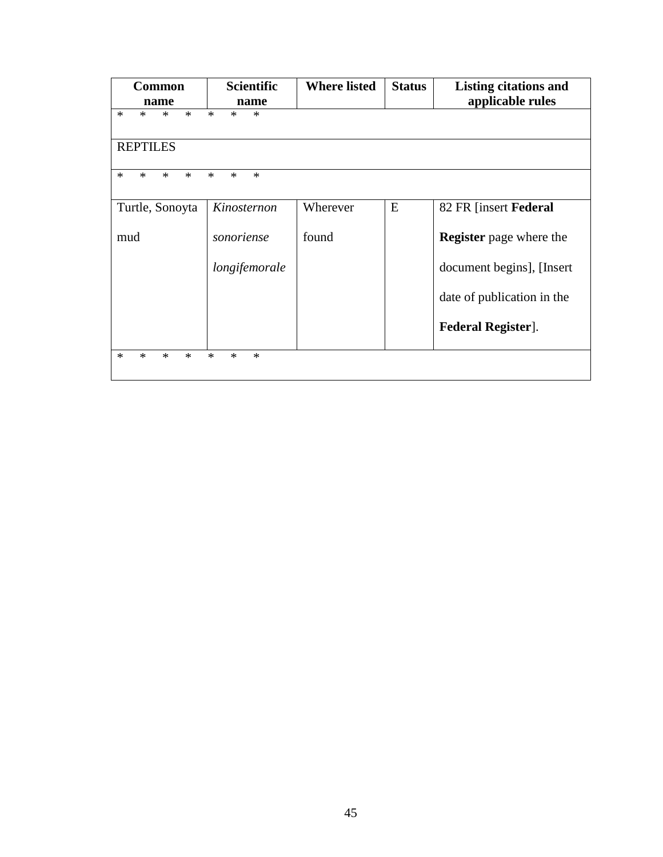| <b>Common</b>                        | <b>Scientific</b>          | <b>Where listed</b> | <b>Status</b> | <b>Listing citations and</b>   |
|--------------------------------------|----------------------------|---------------------|---------------|--------------------------------|
| name                                 | name                       |                     |               | applicable rules               |
| $\ast$<br>$\ast$<br>$\ast$<br>$\ast$ | $\ast$<br>$\ast$<br>$\ast$ |                     |               |                                |
| <b>REPTILES</b>                      |                            |                     |               |                                |
| $\ast$<br>$\ast$<br>$*$<br>$\ast$    | $\ast$<br>$*$<br>$\ast$    |                     |               |                                |
| Turtle, Sonoyta                      | Kinosternon                | Wherever            | E             | 82 FR [insert Federal]         |
| mud                                  | sonoriense                 | found               |               | <b>Register</b> page where the |
|                                      | longifemorale              |                     |               | document begins], [Insert      |
|                                      |                            |                     |               | date of publication in the     |
|                                      |                            |                     |               | <b>Federal Register</b> ].     |
| $\ast$<br>$\ast$<br>$\ast$<br>$\ast$ | $\ast$<br>$\ast$<br>$\ast$ |                     |               |                                |